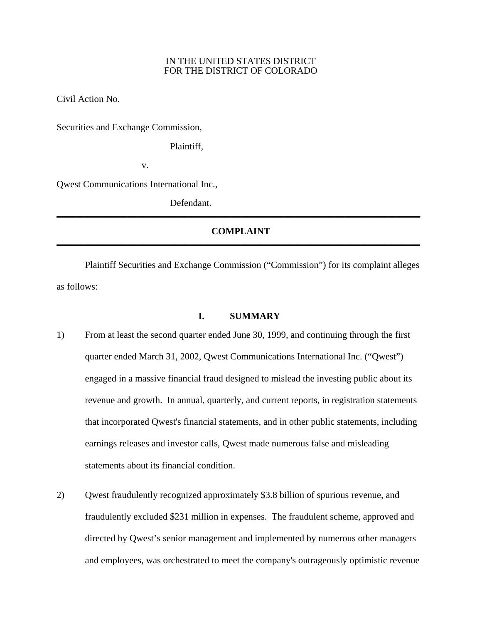## IN THE UNITED STATES DISTRICT FOR THE DISTRICT OF COLORADO

Civil Action No.

Securities and Exchange Commission,

Plaintiff,

v.

Qwest Communications International Inc.,

 Defendant. **\_\_\_\_\_\_\_\_\_\_\_\_\_\_\_\_\_\_\_\_\_\_\_\_\_\_\_\_\_\_\_\_\_\_\_\_\_\_\_\_\_\_\_\_\_\_\_\_\_\_\_\_\_\_\_\_\_\_\_\_\_\_\_\_\_\_\_\_\_\_\_\_\_\_\_\_\_**

# **COMPLAINT**

 Plaintiff Securities and Exchange Commission ("Commission") for its complaint alleges as follows:

# **I. SUMMARY**

- 1) From at least the second quarter ended June 30, 1999, and continuing through the first quarter ended March 31, 2002, Qwest Communications International Inc. ("Qwest") engaged in a massive financial fraud designed to mislead the investing public about its revenue and growth. In annual, quarterly, and current reports, in registration statements that incorporated Qwest's financial statements, and in other public statements, including earnings releases and investor calls, Qwest made numerous false and misleading statements about its financial condition.
- 2) Qwest fraudulently recognized approximately \$3.8 billion of spurious revenue, and fraudulently excluded \$231 million in expenses. The fraudulent scheme, approved and directed by Qwest's senior management and implemented by numerous other managers and employees, was orchestrated to meet the company's outrageously optimistic revenue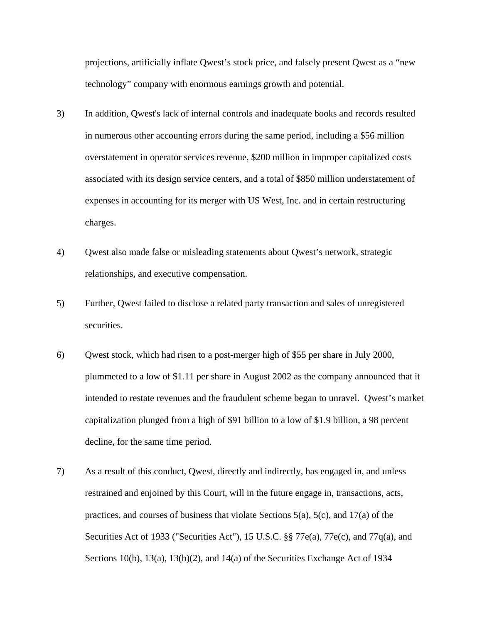projections, artificially inflate Qwest's stock price, and falsely present Qwest as a "new technology" company with enormous earnings growth and potential.

- 3) In addition, Qwest's lack of internal controls and inadequate books and records resulted in numerous other accounting errors during the same period, including a \$56 million overstatement in operator services revenue, \$200 million in improper capitalized costs associated with its design service centers, and a total of \$850 million understatement of expenses in accounting for its merger with US West, Inc. and in certain restructuring charges.
- 4) Qwest also made false or misleading statements about Qwest's network, strategic relationships, and executive compensation.
- 5) Further, Qwest failed to disclose a related party transaction and sales of unregistered securities.
- 6) Qwest stock, which had risen to a post-merger high of \$55 per share in July 2000, plummeted to a low of \$1.11 per share in August 2002 as the company announced that it intended to restate revenues and the fraudulent scheme began to unravel. Qwest's market capitalization plunged from a high of \$91 billion to a low of \$1.9 billion, a 98 percent decline, for the same time period.
- 7) As a result of this conduct, Qwest, directly and indirectly, has engaged in, and unless restrained and enjoined by this Court, will in the future engage in, transactions, acts, practices, and courses of business that violate Sections 5(a), 5(c), and 17(a) of the Securities Act of 1933 ("Securities Act"), 15 U.S.C. §§ 77e(a), 77e(c), and 77q(a), and Sections 10(b), 13(a), 13(b)(2), and 14(a) of the Securities Exchange Act of 1934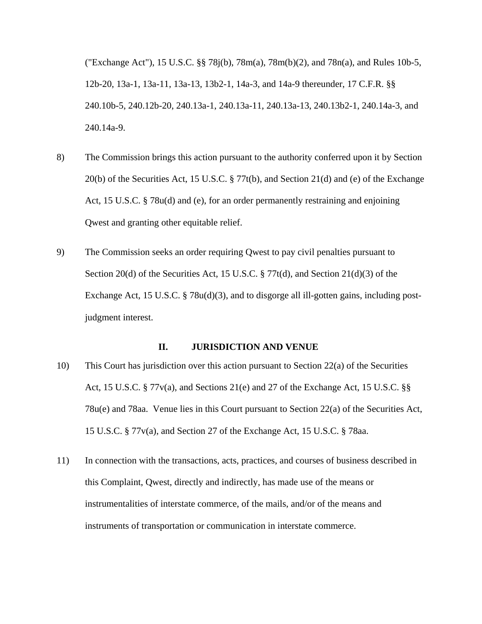("Exchange Act"), 15 U.S.C. §§ 78j(b), 78m(a), 78m(b)(2), and 78n(a), and Rules 10b-5, 12b-20, 13a-1, 13a-11, 13a-13, 13b2-1, 14a-3, and 14a-9 thereunder, 17 C.F.R. §§ 240.10b-5, 240.12b-20, 240.13a-1, 240.13a-11, 240.13a-13, 240.13b2-1, 240.14a-3, and 240.14a-9.

- 8) The Commission brings this action pursuant to the authority conferred upon it by Section 20(b) of the Securities Act, 15 U.S.C. § 77t(b), and Section 21(d) and (e) of the Exchange Act, 15 U.S.C. § 78u(d) and (e), for an order permanently restraining and enjoining Qwest and granting other equitable relief.
- 9) The Commission seeks an order requiring Qwest to pay civil penalties pursuant to Section 20(d) of the Securities Act, 15 U.S.C.  $\S 77t(d)$ , and Section 21(d)(3) of the Exchange Act, 15 U.S.C. § 78u(d)(3), and to disgorge all ill-gotten gains, including postjudgment interest.

## **II. JURISDICTION AND VENUE**

- 10) This Court has jurisdiction over this action pursuant to Section 22(a) of the Securities Act, 15 U.S.C. § 77v(a), and Sections 21(e) and 27 of the Exchange Act, 15 U.S.C. §§ 78u(e) and 78aa. Venue lies in this Court pursuant to Section 22(a) of the Securities Act, 15 U.S.C. § 77v(a), and Section 27 of the Exchange Act, 15 U.S.C. § 78aa.
- 11) In connection with the transactions, acts, practices, and courses of business described in this Complaint, Qwest, directly and indirectly, has made use of the means or instrumentalities of interstate commerce, of the mails, and/or of the means and instruments of transportation or communication in interstate commerce.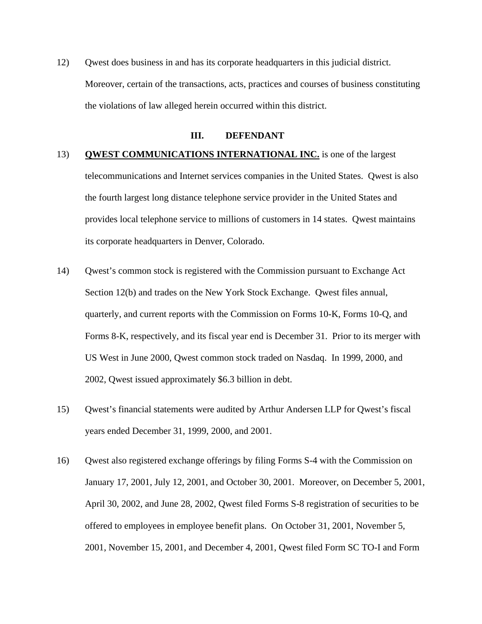12) Qwest does business in and has its corporate headquarters in this judicial district. Moreover, certain of the transactions, acts, practices and courses of business constituting the violations of law alleged herein occurred within this district.

## **III. DEFENDANT**

# 13) **QWEST COMMUNICATIONS INTERNATIONAL INC.** is one of the largest telecommunications and Internet services companies in the United States. Qwest is also the fourth largest long distance telephone service provider in the United States and provides local telephone service to millions of customers in 14 states. Qwest maintains its corporate headquarters in Denver, Colorado.

- 14) Qwest's common stock is registered with the Commission pursuant to Exchange Act Section 12(b) and trades on the New York Stock Exchange. Qwest files annual, quarterly, and current reports with the Commission on Forms 10-K, Forms 10-Q, and Forms 8-K, respectively, and its fiscal year end is December 31. Prior to its merger with US West in June 2000, Qwest common stock traded on Nasdaq. In 1999, 2000, and 2002, Qwest issued approximately \$6.3 billion in debt.
- 15) Qwest's financial statements were audited by Arthur Andersen LLP for Qwest's fiscal years ended December 31, 1999, 2000, and 2001.
- 16) Qwest also registered exchange offerings by filing Forms S-4 with the Commission on January 17, 2001, July 12, 2001, and October 30, 2001. Moreover, on December 5, 2001, April 30, 2002, and June 28, 2002, Qwest filed Forms S-8 registration of securities to be offered to employees in employee benefit plans. On October 31, 2001, November 5, 2001, November 15, 2001, and December 4, 2001, Qwest filed Form SC TO-I and Form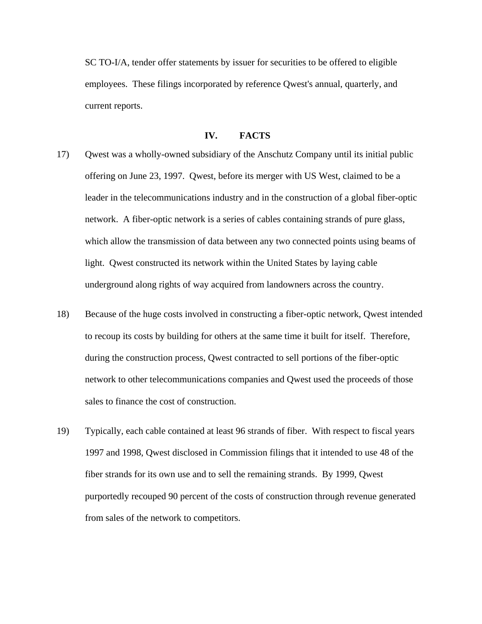SC TO-I/A, tender offer statements by issuer for securities to be offered to eligible employees. These filings incorporated by reference Qwest's annual, quarterly, and current reports.

# **IV. FACTS**

- 17) Qwest was a wholly-owned subsidiary of the Anschutz Company until its initial public offering on June 23, 1997. Qwest, before its merger with US West, claimed to be a leader in the telecommunications industry and in the construction of a global fiber-optic network. A fiber-optic network is a series of cables containing strands of pure glass, which allow the transmission of data between any two connected points using beams of light. Qwest constructed its network within the United States by laying cable underground along rights of way acquired from landowners across the country.
- 18) Because of the huge costs involved in constructing a fiber-optic network, Qwest intended to recoup its costs by building for others at the same time it built for itself. Therefore, during the construction process, Qwest contracted to sell portions of the fiber-optic network to other telecommunications companies and Qwest used the proceeds of those sales to finance the cost of construction.
- 19) Typically, each cable contained at least 96 strands of fiber. With respect to fiscal years 1997 and 1998, Qwest disclosed in Commission filings that it intended to use 48 of the fiber strands for its own use and to sell the remaining strands. By 1999, Qwest purportedly recouped 90 percent of the costs of construction through revenue generated from sales of the network to competitors.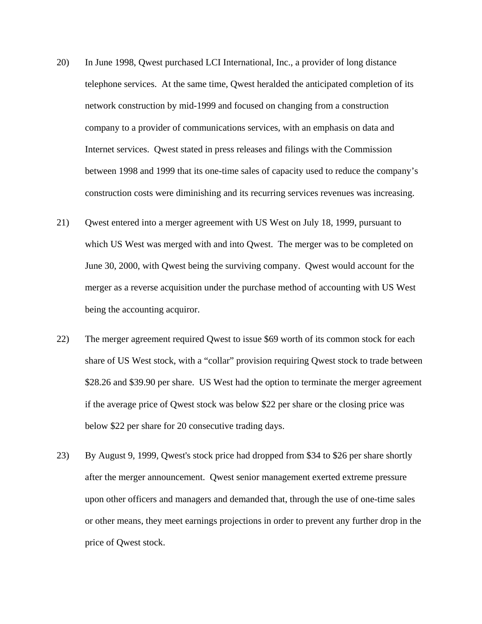- 20) In June 1998, Qwest purchased LCI International, Inc., a provider of long distance telephone services. At the same time, Qwest heralded the anticipated completion of its network construction by mid-1999 and focused on changing from a construction company to a provider of communications services, with an emphasis on data and Internet services. Qwest stated in press releases and filings with the Commission between 1998 and 1999 that its one-time sales of capacity used to reduce the company's construction costs were diminishing and its recurring services revenues was increasing.
- 21) Qwest entered into a merger agreement with US West on July 18, 1999, pursuant to which US West was merged with and into Qwest. The merger was to be completed on June 30, 2000, with Qwest being the surviving company. Qwest would account for the merger as a reverse acquisition under the purchase method of accounting with US West being the accounting acquiror.
- 22) The merger agreement required Qwest to issue \$69 worth of its common stock for each share of US West stock, with a "collar" provision requiring Qwest stock to trade between \$28.26 and \$39.90 per share. US West had the option to terminate the merger agreement if the average price of Qwest stock was below \$22 per share or the closing price was below \$22 per share for 20 consecutive trading days.
- 23) By August 9, 1999, Qwest's stock price had dropped from \$34 to \$26 per share shortly after the merger announcement. Qwest senior management exerted extreme pressure upon other officers and managers and demanded that, through the use of one-time sales or other means, they meet earnings projections in order to prevent any further drop in the price of Qwest stock.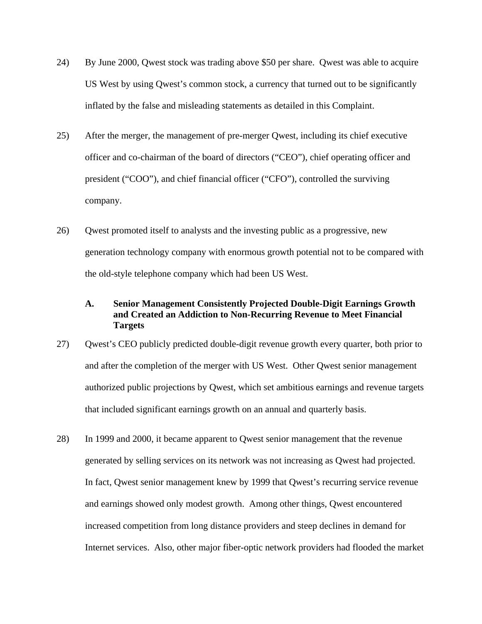- 24) By June 2000, Qwest stock was trading above \$50 per share. Qwest was able to acquire US West by using Qwest's common stock, a currency that turned out to be significantly inflated by the false and misleading statements as detailed in this Complaint.
- 25) After the merger, the management of pre-merger Qwest, including its chief executive officer and co-chairman of the board of directors ("CEO"), chief operating officer and president ("COO"), and chief financial officer ("CFO"), controlled the surviving company.
- 26) Qwest promoted itself to analysts and the investing public as a progressive, new generation technology company with enormous growth potential not to be compared with the old-style telephone company which had been US West.

# **A. Senior Management Consistently Projected Double-Digit Earnings Growth and Created an Addiction to Non-Recurring Revenue to Meet Financial Targets**

- 27) Qwest's CEO publicly predicted double-digit revenue growth every quarter, both prior to and after the completion of the merger with US West. Other Qwest senior management authorized public projections by Qwest, which set ambitious earnings and revenue targets that included significant earnings growth on an annual and quarterly basis.
- 28) In 1999 and 2000, it became apparent to Qwest senior management that the revenue generated by selling services on its network was not increasing as Qwest had projected. In fact, Qwest senior management knew by 1999 that Qwest's recurring service revenue and earnings showed only modest growth. Among other things, Qwest encountered increased competition from long distance providers and steep declines in demand for Internet services. Also, other major fiber-optic network providers had flooded the market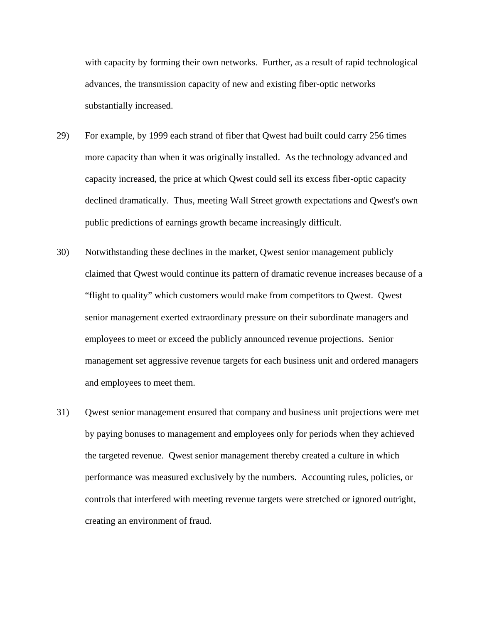with capacity by forming their own networks. Further, as a result of rapid technological advances, the transmission capacity of new and existing fiber-optic networks substantially increased.

- 29) For example, by 1999 each strand of fiber that Qwest had built could carry 256 times more capacity than when it was originally installed. As the technology advanced and capacity increased, the price at which Qwest could sell its excess fiber-optic capacity declined dramatically. Thus, meeting Wall Street growth expectations and Qwest's own public predictions of earnings growth became increasingly difficult.
- 30) Notwithstanding these declines in the market, Qwest senior management publicly claimed that Qwest would continue its pattern of dramatic revenue increases because of a "flight to quality" which customers would make from competitors to Qwest. Qwest senior management exerted extraordinary pressure on their subordinate managers and employees to meet or exceed the publicly announced revenue projections. Senior management set aggressive revenue targets for each business unit and ordered managers and employees to meet them.
- 31) Qwest senior management ensured that company and business unit projections were met by paying bonuses to management and employees only for periods when they achieved the targeted revenue. Qwest senior management thereby created a culture in which performance was measured exclusively by the numbers. Accounting rules, policies, or controls that interfered with meeting revenue targets were stretched or ignored outright, creating an environment of fraud.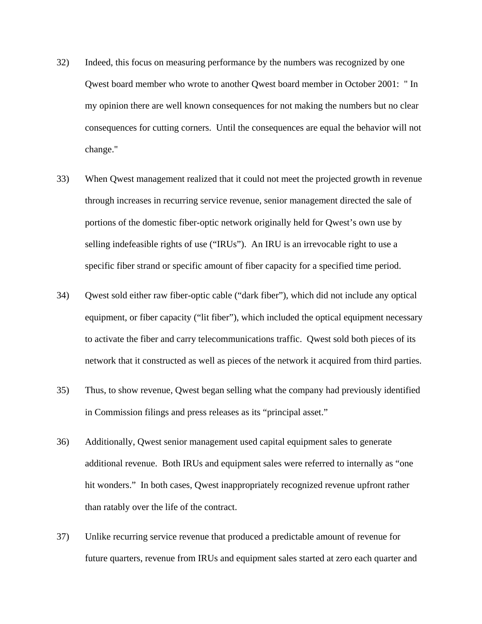- 32) Indeed, this focus on measuring performance by the numbers was recognized by one Qwest board member who wrote to another Qwest board member in October 2001: " In my opinion there are well known consequences for not making the numbers but no clear consequences for cutting corners. Until the consequences are equal the behavior will not change."
- 33) When Qwest management realized that it could not meet the projected growth in revenue through increases in recurring service revenue, senior management directed the sale of portions of the domestic fiber-optic network originally held for Qwest's own use by selling indefeasible rights of use ("IRUs"). An IRU is an irrevocable right to use a specific fiber strand or specific amount of fiber capacity for a specified time period.
- 34) Qwest sold either raw fiber-optic cable ("dark fiber"), which did not include any optical equipment, or fiber capacity ("lit fiber"), which included the optical equipment necessary to activate the fiber and carry telecommunications traffic. Qwest sold both pieces of its network that it constructed as well as pieces of the network it acquired from third parties.
- 35) Thus, to show revenue, Qwest began selling what the company had previously identified in Commission filings and press releases as its "principal asset."
- 36) Additionally, Qwest senior management used capital equipment sales to generate additional revenue. Both IRUs and equipment sales were referred to internally as "one hit wonders." In both cases, Qwest inappropriately recognized revenue upfront rather than ratably over the life of the contract.
- 37) Unlike recurring service revenue that produced a predictable amount of revenue for future quarters, revenue from IRUs and equipment sales started at zero each quarter and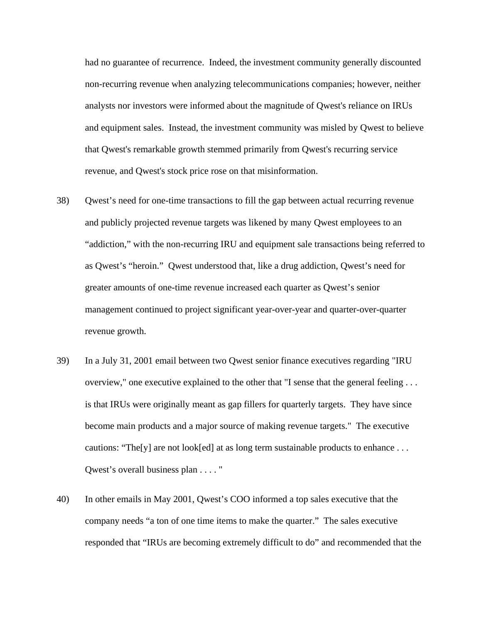had no guarantee of recurrence. Indeed, the investment community generally discounted non-recurring revenue when analyzing telecommunications companies; however, neither analysts nor investors were informed about the magnitude of Qwest's reliance on IRUs and equipment sales. Instead, the investment community was misled by Qwest to believe that Qwest's remarkable growth stemmed primarily from Qwest's recurring service revenue, and Qwest's stock price rose on that misinformation.

- 38) Qwest's need for one-time transactions to fill the gap between actual recurring revenue and publicly projected revenue targets was likened by many Qwest employees to an "addiction," with the non-recurring IRU and equipment sale transactions being referred to as Qwest's "heroin." Qwest understood that, like a drug addiction, Qwest's need for greater amounts of one-time revenue increased each quarter as Qwest's senior management continued to project significant year-over-year and quarter-over-quarter revenue growth.
- 39) In a July 31, 2001 email between two Qwest senior finance executives regarding "IRU overview," one executive explained to the other that "I sense that the general feeling . . . is that IRUs were originally meant as gap fillers for quarterly targets. They have since become main products and a major source of making revenue targets." The executive cautions: "The[y] are not look[ed] at as long term sustainable products to enhance ... Qwest's overall business plan . . . . "
- 40) In other emails in May 2001, Qwest's COO informed a top sales executive that the company needs "a ton of one time items to make the quarter." The sales executive responded that "IRUs are becoming extremely difficult to do" and recommended that the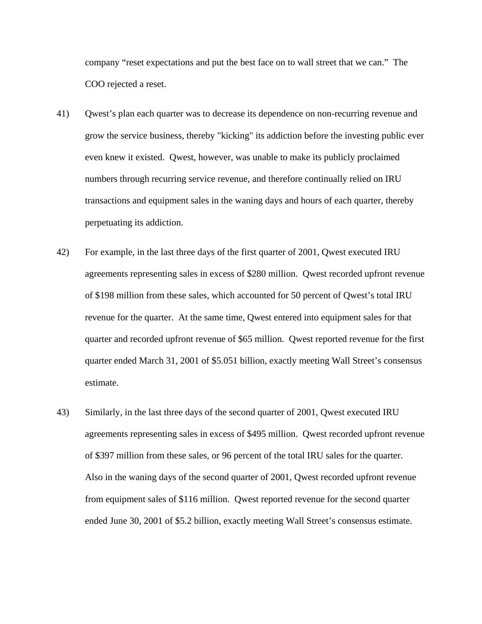company "reset expectations and put the best face on to wall street that we can." The COO rejected a reset.

- 41) Qwest's plan each quarter was to decrease its dependence on non-recurring revenue and grow the service business, thereby "kicking" its addiction before the investing public ever even knew it existed. Qwest, however, was unable to make its publicly proclaimed numbers through recurring service revenue, and therefore continually relied on IRU transactions and equipment sales in the waning days and hours of each quarter, thereby perpetuating its addiction.
- 42) For example, in the last three days of the first quarter of 2001, Qwest executed IRU agreements representing sales in excess of \$280 million. Qwest recorded upfront revenue of \$198 million from these sales, which accounted for 50 percent of Qwest's total IRU revenue for the quarter. At the same time, Qwest entered into equipment sales for that quarter and recorded upfront revenue of \$65 million. Qwest reported revenue for the first quarter ended March 31, 2001 of \$5.051 billion, exactly meeting Wall Street's consensus estimate.
- 43) Similarly, in the last three days of the second quarter of 2001, Qwest executed IRU agreements representing sales in excess of \$495 million. Qwest recorded upfront revenue of \$397 million from these sales, or 96 percent of the total IRU sales for the quarter. Also in the waning days of the second quarter of 2001, Qwest recorded upfront revenue from equipment sales of \$116 million. Qwest reported revenue for the second quarter ended June 30, 2001 of \$5.2 billion, exactly meeting Wall Street's consensus estimate.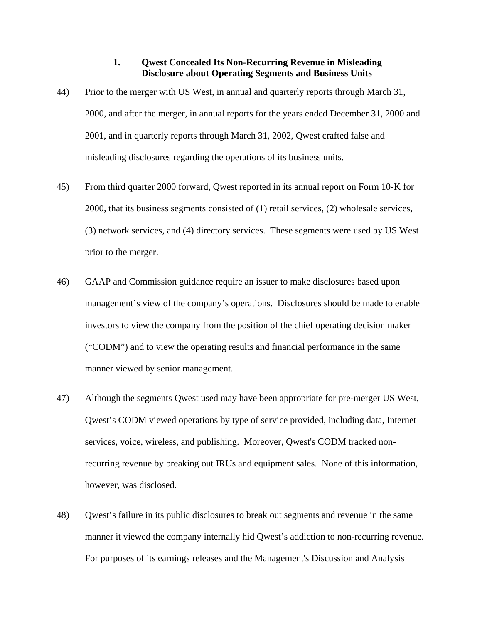# **1. Qwest Concealed Its Non-Recurring Revenue in Misleading Disclosure about Operating Segments and Business Units**

- 44) Prior to the merger with US West, in annual and quarterly reports through March 31, 2000, and after the merger, in annual reports for the years ended December 31, 2000 and 2001, and in quarterly reports through March 31, 2002, Qwest crafted false and misleading disclosures regarding the operations of its business units.
- 45) From third quarter 2000 forward, Qwest reported in its annual report on Form 10-K for 2000, that its business segments consisted of (1) retail services, (2) wholesale services, (3) network services, and (4) directory services. These segments were used by US West prior to the merger.
- 46) GAAP and Commission guidance require an issuer to make disclosures based upon management's view of the company's operations. Disclosures should be made to enable investors to view the company from the position of the chief operating decision maker ("CODM") and to view the operating results and financial performance in the same manner viewed by senior management.
- 47) Although the segments Qwest used may have been appropriate for pre-merger US West, Qwest's CODM viewed operations by type of service provided, including data, Internet services, voice, wireless, and publishing. Moreover, Qwest's CODM tracked nonrecurring revenue by breaking out IRUs and equipment sales. None of this information, however, was disclosed.
- 48) Qwest's failure in its public disclosures to break out segments and revenue in the same manner it viewed the company internally hid Qwest's addiction to non-recurring revenue. For purposes of its earnings releases and the Management's Discussion and Analysis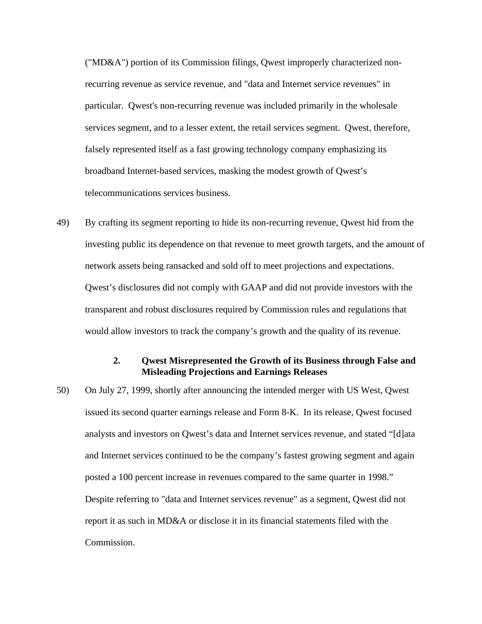("MD&A") portion of its Commission filings, Qwest improperly characterized nonrecurring revenue as service revenue, and "data and Internet service revenues" in particular. Qwest's non-recurring revenue was included primarily in the wholesale services segment, and to a lesser extent, the retail services segment. Qwest, therefore, falsely represented itself as a fast growing technology company emphasizing its broadband Internet-based services, masking the modest growth of Qwest's telecommunications services business.

49) By crafting its segment reporting to hide its non-recurring revenue, Qwest hid from the investing public its dependence on that revenue to meet growth targets, and the amount of network assets being ransacked and sold off to meet projections and expectations. Qwest's disclosures did not comply with GAAP and did not provide investors with the transparent and robust disclosures required by Commission rules and regulations that would allow investors to track the company's growth and the quality of its revenue.

# **2. Qwest Misrepresented the Growth of its Business through False and Misleading Projections and Earnings Releases**

50) On July 27, 1999, shortly after announcing the intended merger with US West, Qwest issued its second quarter earnings release and Form 8-K. In its release, Qwest focused analysts and investors on Qwest's data and Internet services revenue, and stated "[d]ata and Internet services continued to be the company's fastest growing segment and again posted a 100 percent increase in revenues compared to the same quarter in 1998." Despite referring to "data and Internet services revenue" as a segment, Qwest did not report it as such in MD&A or disclose it in its financial statements filed with the Commission.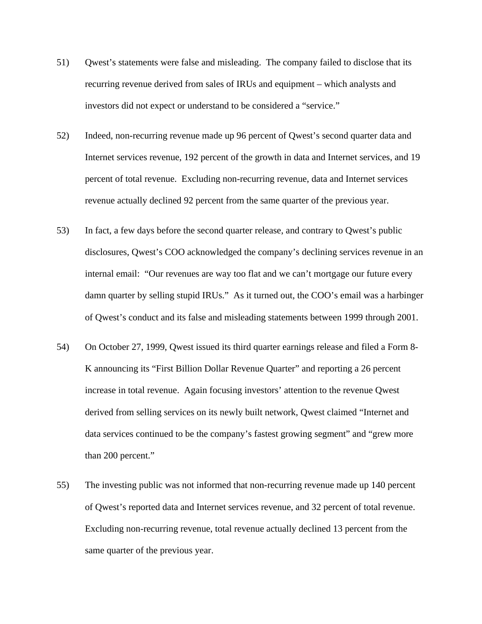- 51) Qwest's statements were false and misleading. The company failed to disclose that its recurring revenue derived from sales of IRUs and equipment – which analysts and investors did not expect or understand to be considered a "service."
- 52) Indeed, non-recurring revenue made up 96 percent of Qwest's second quarter data and Internet services revenue, 192 percent of the growth in data and Internet services, and 19 percent of total revenue. Excluding non-recurring revenue, data and Internet services revenue actually declined 92 percent from the same quarter of the previous year.
- 53) In fact, a few days before the second quarter release, and contrary to Qwest's public disclosures, Qwest's COO acknowledged the company's declining services revenue in an internal email: "Our revenues are way too flat and we can't mortgage our future every damn quarter by selling stupid IRUs." As it turned out, the COO's email was a harbinger of Qwest's conduct and its false and misleading statements between 1999 through 2001.
- 54) On October 27, 1999, Qwest issued its third quarter earnings release and filed a Form 8- K announcing its "First Billion Dollar Revenue Quarter" and reporting a 26 percent increase in total revenue. Again focusing investors' attention to the revenue Qwest derived from selling services on its newly built network, Qwest claimed "Internet and data services continued to be the company's fastest growing segment" and "grew more than 200 percent."
- 55) The investing public was not informed that non-recurring revenue made up 140 percent of Qwest's reported data and Internet services revenue, and 32 percent of total revenue. Excluding non-recurring revenue, total revenue actually declined 13 percent from the same quarter of the previous year.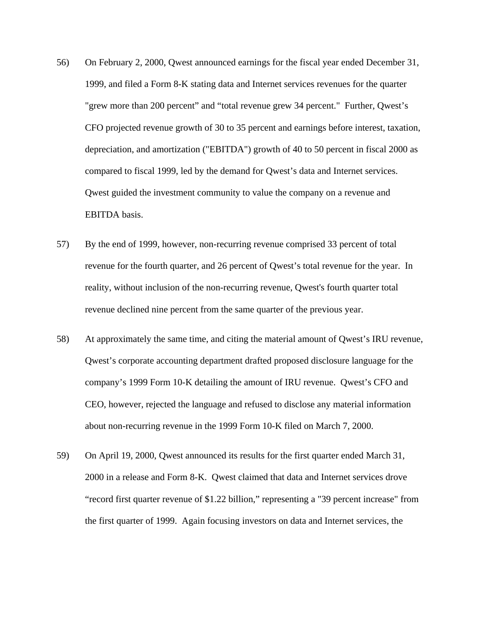- 56) On February 2, 2000, Qwest announced earnings for the fiscal year ended December 31, 1999, and filed a Form 8-K stating data and Internet services revenues for the quarter "grew more than 200 percent" and "total revenue grew 34 percent." Further, Qwest's CFO projected revenue growth of 30 to 35 percent and earnings before interest, taxation, depreciation, and amortization ("EBITDA") growth of 40 to 50 percent in fiscal 2000 as compared to fiscal 1999, led by the demand for Qwest's data and Internet services. Qwest guided the investment community to value the company on a revenue and EBITDA basis.
- 57) By the end of 1999, however, non-recurring revenue comprised 33 percent of total revenue for the fourth quarter, and 26 percent of Qwest's total revenue for the year. In reality, without inclusion of the non-recurring revenue, Qwest's fourth quarter total revenue declined nine percent from the same quarter of the previous year.
- 58) At approximately the same time, and citing the material amount of Qwest's IRU revenue, Qwest's corporate accounting department drafted proposed disclosure language for the company's 1999 Form 10-K detailing the amount of IRU revenue. Qwest's CFO and CEO, however, rejected the language and refused to disclose any material information about non-recurring revenue in the 1999 Form 10-K filed on March 7, 2000.
- 59) On April 19, 2000, Qwest announced its results for the first quarter ended March 31, 2000 in a release and Form 8-K. Qwest claimed that data and Internet services drove "record first quarter revenue of \$1.22 billion," representing a "39 percent increase" from the first quarter of 1999. Again focusing investors on data and Internet services, the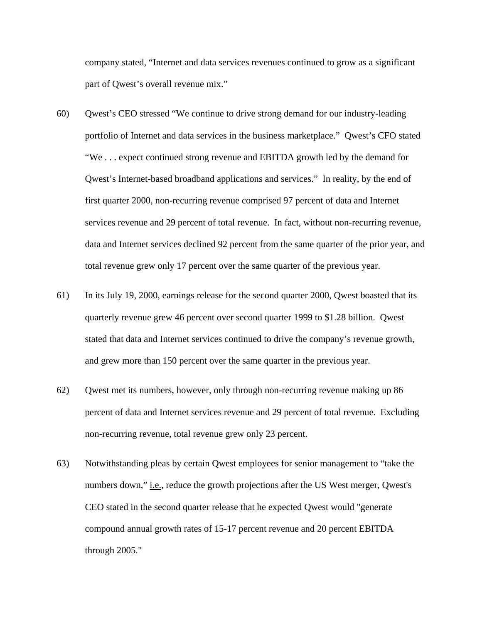company stated, "Internet and data services revenues continued to grow as a significant part of Qwest's overall revenue mix."

- 60) Qwest's CEO stressed "We continue to drive strong demand for our industry-leading portfolio of Internet and data services in the business marketplace." Qwest's CFO stated "We . . . expect continued strong revenue and EBITDA growth led by the demand for Qwest's Internet-based broadband applications and services." In reality, by the end of first quarter 2000, non-recurring revenue comprised 97 percent of data and Internet services revenue and 29 percent of total revenue. In fact, without non-recurring revenue, data and Internet services declined 92 percent from the same quarter of the prior year, and total revenue grew only 17 percent over the same quarter of the previous year.
- 61) In its July 19, 2000, earnings release for the second quarter 2000, Qwest boasted that its quarterly revenue grew 46 percent over second quarter 1999 to \$1.28 billion. Qwest stated that data and Internet services continued to drive the company's revenue growth, and grew more than 150 percent over the same quarter in the previous year.
- 62) Qwest met its numbers, however, only through non-recurring revenue making up 86 percent of data and Internet services revenue and 29 percent of total revenue. Excluding non-recurring revenue, total revenue grew only 23 percent.
- 63) Notwithstanding pleas by certain Qwest employees for senior management to "take the numbers down," i.e., reduce the growth projections after the US West merger, Qwest's CEO stated in the second quarter release that he expected Qwest would "generate compound annual growth rates of 15-17 percent revenue and 20 percent EBITDA through 2005."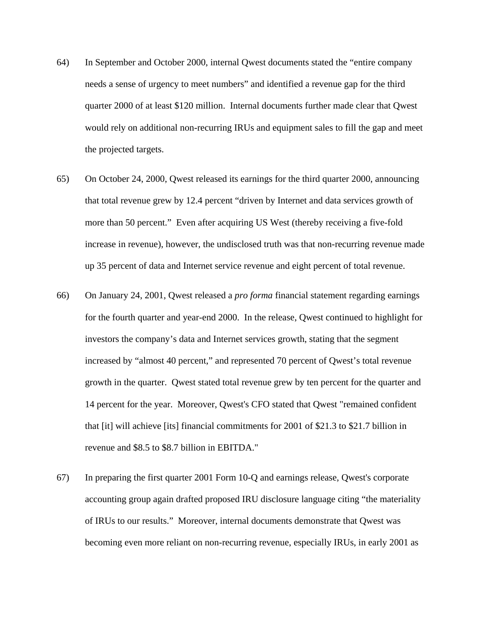- 64) In September and October 2000, internal Qwest documents stated the "entire company needs a sense of urgency to meet numbers" and identified a revenue gap for the third quarter 2000 of at least \$120 million. Internal documents further made clear that Qwest would rely on additional non-recurring IRUs and equipment sales to fill the gap and meet the projected targets.
- 65) On October 24, 2000, Qwest released its earnings for the third quarter 2000, announcing that total revenue grew by 12.4 percent "driven by Internet and data services growth of more than 50 percent." Even after acquiring US West (thereby receiving a five-fold increase in revenue), however, the undisclosed truth was that non-recurring revenue made up 35 percent of data and Internet service revenue and eight percent of total revenue.
- 66) On January 24, 2001, Qwest released a *pro forma* financial statement regarding earnings for the fourth quarter and year-end 2000. In the release, Qwest continued to highlight for investors the company's data and Internet services growth, stating that the segment increased by "almost 40 percent," and represented 70 percent of Qwest's total revenue growth in the quarter. Qwest stated total revenue grew by ten percent for the quarter and 14 percent for the year. Moreover, Qwest's CFO stated that Qwest "remained confident that [it] will achieve [its] financial commitments for 2001 of \$21.3 to \$21.7 billion in revenue and \$8.5 to \$8.7 billion in EBITDA."
- 67) In preparing the first quarter 2001 Form 10-Q and earnings release, Qwest's corporate accounting group again drafted proposed IRU disclosure language citing "the materiality of IRUs to our results." Moreover, internal documents demonstrate that Qwest was becoming even more reliant on non-recurring revenue, especially IRUs, in early 2001 as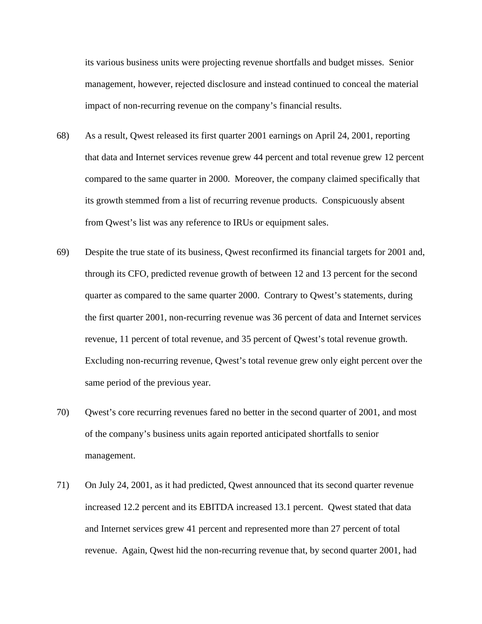its various business units were projecting revenue shortfalls and budget misses. Senior management, however, rejected disclosure and instead continued to conceal the material impact of non-recurring revenue on the company's financial results.

- 68) As a result, Qwest released its first quarter 2001 earnings on April 24, 2001, reporting that data and Internet services revenue grew 44 percent and total revenue grew 12 percent compared to the same quarter in 2000. Moreover, the company claimed specifically that its growth stemmed from a list of recurring revenue products. Conspicuously absent from Qwest's list was any reference to IRUs or equipment sales.
- 69) Despite the true state of its business, Qwest reconfirmed its financial targets for 2001 and, through its CFO, predicted revenue growth of between 12 and 13 percent for the second quarter as compared to the same quarter 2000. Contrary to Qwest's statements, during the first quarter 2001, non-recurring revenue was 36 percent of data and Internet services revenue, 11 percent of total revenue, and 35 percent of Qwest's total revenue growth. Excluding non-recurring revenue, Qwest's total revenue grew only eight percent over the same period of the previous year.
- 70) Qwest's core recurring revenues fared no better in the second quarter of 2001, and most of the company's business units again reported anticipated shortfalls to senior management.
- 71) On July 24, 2001, as it had predicted, Qwest announced that its second quarter revenue increased 12.2 percent and its EBITDA increased 13.1 percent. Qwest stated that data and Internet services grew 41 percent and represented more than 27 percent of total revenue. Again, Qwest hid the non-recurring revenue that, by second quarter 2001, had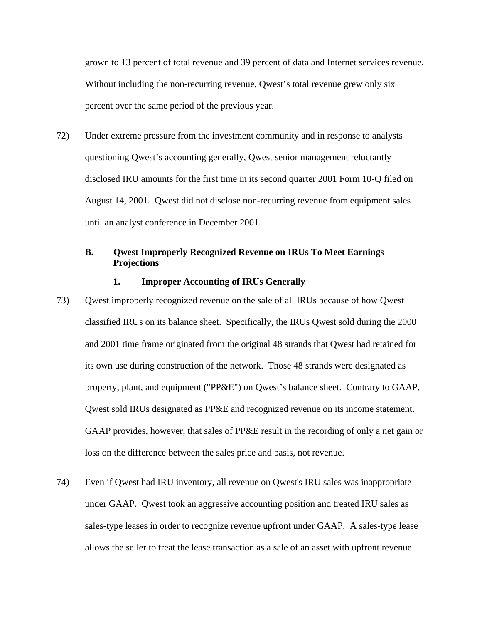grown to 13 percent of total revenue and 39 percent of data and Internet services revenue. Without including the non-recurring revenue, Qwest's total revenue grew only six percent over the same period of the previous year.

72) Under extreme pressure from the investment community and in response to analysts questioning Qwest's accounting generally, Qwest senior management reluctantly disclosed IRU amounts for the first time in its second quarter 2001 Form 10-Q filed on August 14, 2001. Qwest did not disclose non-recurring revenue from equipment sales until an analyst conference in December 2001.

# **B. Qwest Improperly Recognized Revenue on IRUs To Meet Earnings Projections**

# **1. Improper Accounting of IRUs Generally**

- 73) Qwest improperly recognized revenue on the sale of all IRUs because of how Qwest classified IRUs on its balance sheet. Specifically, the IRUs Qwest sold during the 2000 and 2001 time frame originated from the original 48 strands that Qwest had retained for its own use during construction of the network. Those 48 strands were designated as property, plant, and equipment ("PP&E") on Qwest's balance sheet. Contrary to GAAP, Qwest sold IRUs designated as PP&E and recognized revenue on its income statement. GAAP provides, however, that sales of PP&E result in the recording of only a net gain or loss on the difference between the sales price and basis, not revenue.
- 74) Even if Qwest had IRU inventory, all revenue on Qwest's IRU sales was inappropriate under GAAP. Qwest took an aggressive accounting position and treated IRU sales as sales-type leases in order to recognize revenue upfront under GAAP. A sales-type lease allows the seller to treat the lease transaction as a sale of an asset with upfront revenue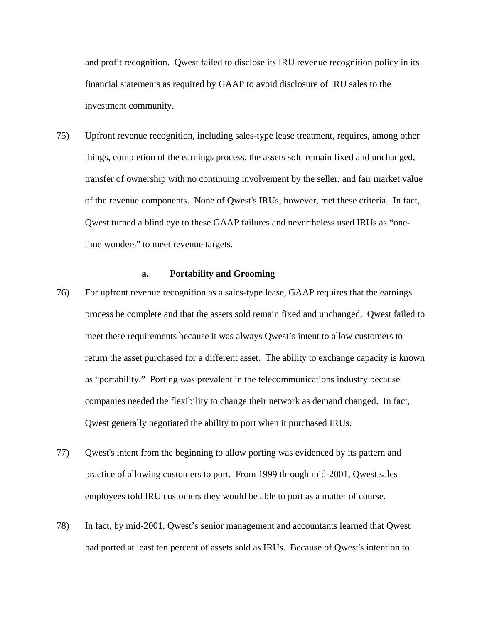and profit recognition. Qwest failed to disclose its IRU revenue recognition policy in its financial statements as required by GAAP to avoid disclosure of IRU sales to the investment community.

75) Upfront revenue recognition, including sales-type lease treatment, requires, among other things, completion of the earnings process, the assets sold remain fixed and unchanged, transfer of ownership with no continuing involvement by the seller, and fair market value of the revenue components. None of Qwest's IRUs, however, met these criteria. In fact, Qwest turned a blind eye to these GAAP failures and nevertheless used IRUs as "onetime wonders" to meet revenue targets.

# **a. Portability and Grooming**

- 76) For upfront revenue recognition as a sales-type lease, GAAP requires that the earnings process be complete and that the assets sold remain fixed and unchanged. Qwest failed to meet these requirements because it was always Qwest's intent to allow customers to return the asset purchased for a different asset. The ability to exchange capacity is known as "portability." Porting was prevalent in the telecommunications industry because companies needed the flexibility to change their network as demand changed. In fact, Qwest generally negotiated the ability to port when it purchased IRUs.
- 77) Qwest's intent from the beginning to allow porting was evidenced by its pattern and practice of allowing customers to port. From 1999 through mid-2001, Qwest sales employees told IRU customers they would be able to port as a matter of course.
- 78) In fact, by mid-2001, Qwest's senior management and accountants learned that Qwest had ported at least ten percent of assets sold as IRUs. Because of Qwest's intention to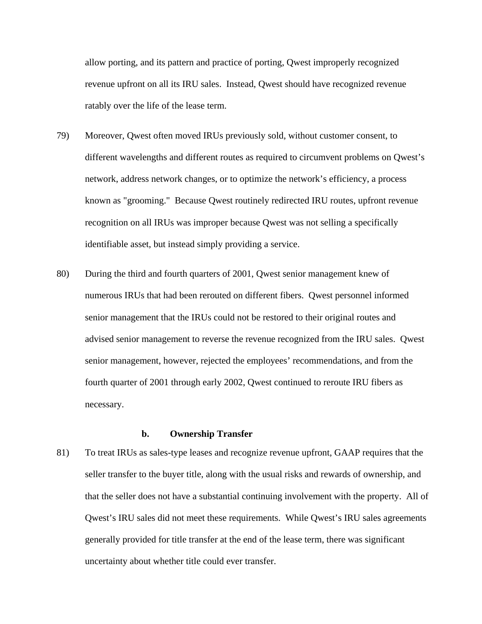allow porting, and its pattern and practice of porting, Qwest improperly recognized revenue upfront on all its IRU sales. Instead, Qwest should have recognized revenue ratably over the life of the lease term.

- 79) Moreover, Qwest often moved IRUs previously sold, without customer consent, to different wavelengths and different routes as required to circumvent problems on Qwest's network, address network changes, or to optimize the network's efficiency, a process known as "grooming." Because Qwest routinely redirected IRU routes, upfront revenue recognition on all IRUs was improper because Qwest was not selling a specifically identifiable asset, but instead simply providing a service.
- 80) During the third and fourth quarters of 2001, Qwest senior management knew of numerous IRUs that had been rerouted on different fibers. Qwest personnel informed senior management that the IRUs could not be restored to their original routes and advised senior management to reverse the revenue recognized from the IRU sales. Qwest senior management, however, rejected the employees' recommendations, and from the fourth quarter of 2001 through early 2002, Qwest continued to reroute IRU fibers as necessary.

# **b. Ownership Transfer**

81) To treat IRUs as sales-type leases and recognize revenue upfront, GAAP requires that the seller transfer to the buyer title, along with the usual risks and rewards of ownership, and that the seller does not have a substantial continuing involvement with the property. All of Qwest's IRU sales did not meet these requirements. While Qwest's IRU sales agreements generally provided for title transfer at the end of the lease term, there was significant uncertainty about whether title could ever transfer.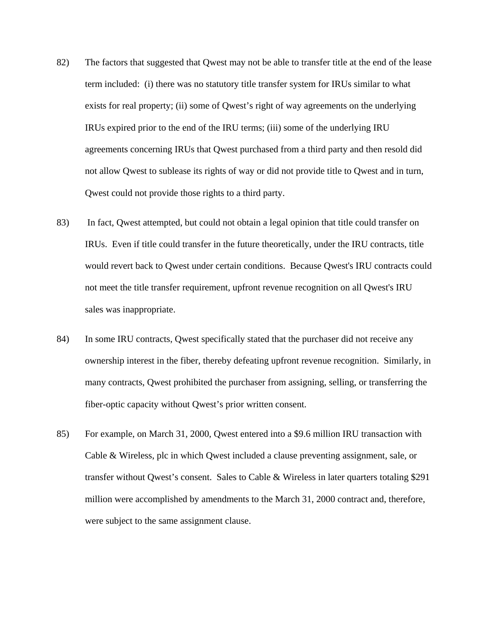- 82) The factors that suggested that Qwest may not be able to transfer title at the end of the lease term included: (i) there was no statutory title transfer system for IRUs similar to what exists for real property; (ii) some of Qwest's right of way agreements on the underlying IRUs expired prior to the end of the IRU terms; (iii) some of the underlying IRU agreements concerning IRUs that Qwest purchased from a third party and then resold did not allow Qwest to sublease its rights of way or did not provide title to Qwest and in turn, Qwest could not provide those rights to a third party.
- 83) In fact, Qwest attempted, but could not obtain a legal opinion that title could transfer on IRUs. Even if title could transfer in the future theoretically, under the IRU contracts, title would revert back to Qwest under certain conditions. Because Qwest's IRU contracts could not meet the title transfer requirement, upfront revenue recognition on all Qwest's IRU sales was inappropriate.
- 84) In some IRU contracts, Qwest specifically stated that the purchaser did not receive any ownership interest in the fiber, thereby defeating upfront revenue recognition. Similarly, in many contracts, Qwest prohibited the purchaser from assigning, selling, or transferring the fiber-optic capacity without Qwest's prior written consent.
- 85) For example, on March 31, 2000, Qwest entered into a \$9.6 million IRU transaction with Cable & Wireless, plc in which Qwest included a clause preventing assignment, sale, or transfer without Qwest's consent. Sales to Cable & Wireless in later quarters totaling \$291 million were accomplished by amendments to the March 31, 2000 contract and, therefore, were subject to the same assignment clause.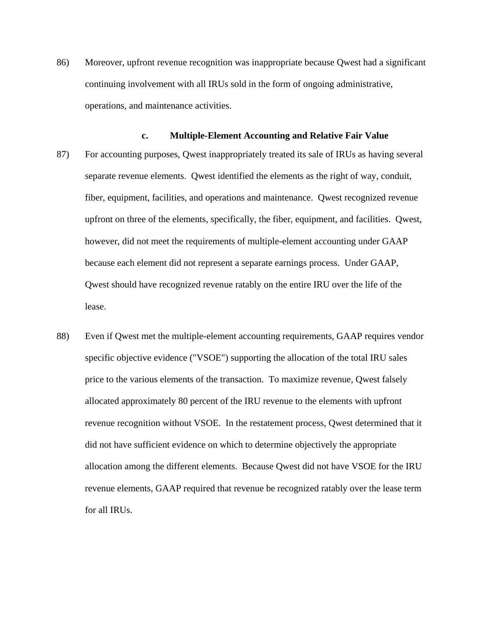86) Moreover, upfront revenue recognition was inappropriate because Qwest had a significant continuing involvement with all IRUs sold in the form of ongoing administrative, operations, and maintenance activities.

#### **c. Multiple-Element Accounting and Relative Fair Value**

- 87) For accounting purposes, Qwest inappropriately treated its sale of IRUs as having several separate revenue elements. Qwest identified the elements as the right of way, conduit, fiber, equipment, facilities, and operations and maintenance. Qwest recognized revenue upfront on three of the elements, specifically, the fiber, equipment, and facilities. Qwest, however, did not meet the requirements of multiple-element accounting under GAAP because each element did not represent a separate earnings process. Under GAAP, Qwest should have recognized revenue ratably on the entire IRU over the life of the lease.
- 88) Even if Qwest met the multiple-element accounting requirements, GAAP requires vendor specific objective evidence ("VSOE") supporting the allocation of the total IRU sales price to the various elements of the transaction. To maximize revenue, Qwest falsely allocated approximately 80 percent of the IRU revenue to the elements with upfront revenue recognition without VSOE. In the restatement process, Qwest determined that it did not have sufficient evidence on which to determine objectively the appropriate allocation among the different elements. Because Qwest did not have VSOE for the IRU revenue elements, GAAP required that revenue be recognized ratably over the lease term for all IRUs.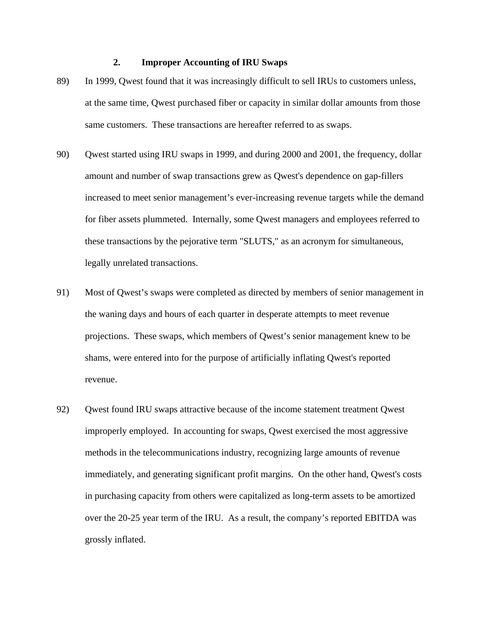# **2. Improper Accounting of IRU Swaps**

- 89) In 1999, Qwest found that it was increasingly difficult to sell IRUs to customers unless, at the same time, Qwest purchased fiber or capacity in similar dollar amounts from those same customers. These transactions are hereafter referred to as swaps.
- 90) Qwest started using IRU swaps in 1999, and during 2000 and 2001, the frequency, dollar amount and number of swap transactions grew as Qwest's dependence on gap-fillers increased to meet senior management's ever-increasing revenue targets while the demand for fiber assets plummeted. Internally, some Qwest managers and employees referred to these transactions by the pejorative term "SLUTS," as an acronym for simultaneous, legally unrelated transactions.
- 91) Most of Qwest's swaps were completed as directed by members of senior management in the waning days and hours of each quarter in desperate attempts to meet revenue projections. These swaps, which members of Qwest's senior management knew to be shams, were entered into for the purpose of artificially inflating Qwest's reported revenue.
- 92) Qwest found IRU swaps attractive because of the income statement treatment Qwest improperly employed. In accounting for swaps, Qwest exercised the most aggressive methods in the telecommunications industry, recognizing large amounts of revenue immediately, and generating significant profit margins. On the other hand, Qwest's costs in purchasing capacity from others were capitalized as long-term assets to be amortized over the 20-25 year term of the IRU. As a result, the company's reported EBITDA was grossly inflated.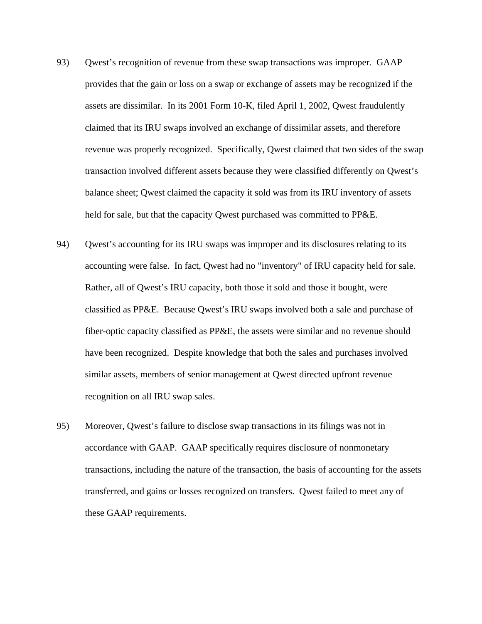- 93) Qwest's recognition of revenue from these swap transactions was improper. GAAP provides that the gain or loss on a swap or exchange of assets may be recognized if the assets are dissimilar. In its 2001 Form 10-K, filed April 1, 2002, Qwest fraudulently claimed that its IRU swaps involved an exchange of dissimilar assets, and therefore revenue was properly recognized. Specifically, Qwest claimed that two sides of the swap transaction involved different assets because they were classified differently on Qwest's balance sheet; Qwest claimed the capacity it sold was from its IRU inventory of assets held for sale, but that the capacity Qwest purchased was committed to PP&E.
- 94) Qwest's accounting for its IRU swaps was improper and its disclosures relating to its accounting were false. In fact, Qwest had no "inventory" of IRU capacity held for sale. Rather, all of Qwest's IRU capacity, both those it sold and those it bought, were classified as PP&E. Because Qwest's IRU swaps involved both a sale and purchase of fiber-optic capacity classified as PP&E, the assets were similar and no revenue should have been recognized. Despite knowledge that both the sales and purchases involved similar assets, members of senior management at Qwest directed upfront revenue recognition on all IRU swap sales.
- 95) Moreover, Qwest's failure to disclose swap transactions in its filings was not in accordance with GAAP. GAAP specifically requires disclosure of nonmonetary transactions, including the nature of the transaction, the basis of accounting for the assets transferred, and gains or losses recognized on transfers. Qwest failed to meet any of these GAAP requirements.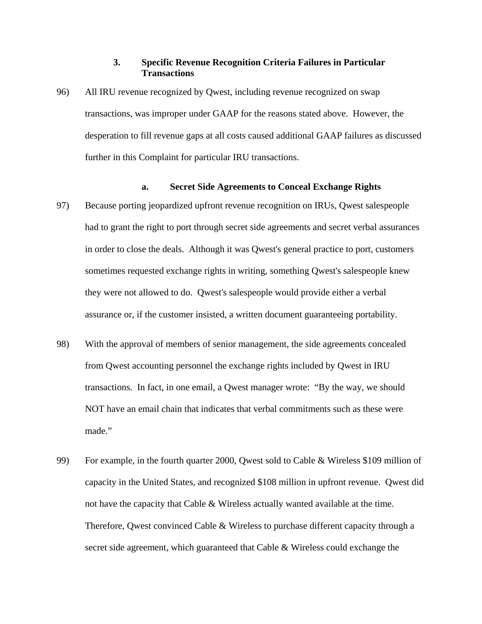# **3. Specific Revenue Recognition Criteria Failures in Particular Transactions**

96) All IRU revenue recognized by Qwest, including revenue recognized on swap transactions, was improper under GAAP for the reasons stated above. However, the desperation to fill revenue gaps at all costs caused additional GAAP failures as discussed further in this Complaint for particular IRU transactions.

# **a. Secret Side Agreements to Conceal Exchange Rights**

- 97) Because porting jeopardized upfront revenue recognition on IRUs, Qwest salespeople had to grant the right to port through secret side agreements and secret verbal assurances in order to close the deals. Although it was Qwest's general practice to port, customers sometimes requested exchange rights in writing, something Qwest's salespeople knew they were not allowed to do. Qwest's salespeople would provide either a verbal assurance or, if the customer insisted, a written document guaranteeing portability.
- 98) With the approval of members of senior management, the side agreements concealed from Qwest accounting personnel the exchange rights included by Qwest in IRU transactions. In fact, in one email, a Qwest manager wrote: "By the way, we should NOT have an email chain that indicates that verbal commitments such as these were made."
- 99) For example, in the fourth quarter 2000, Qwest sold to Cable & Wireless \$109 million of capacity in the United States, and recognized \$108 million in upfront revenue. Qwest did not have the capacity that Cable & Wireless actually wanted available at the time. Therefore, Qwest convinced Cable & Wireless to purchase different capacity through a secret side agreement, which guaranteed that Cable & Wireless could exchange the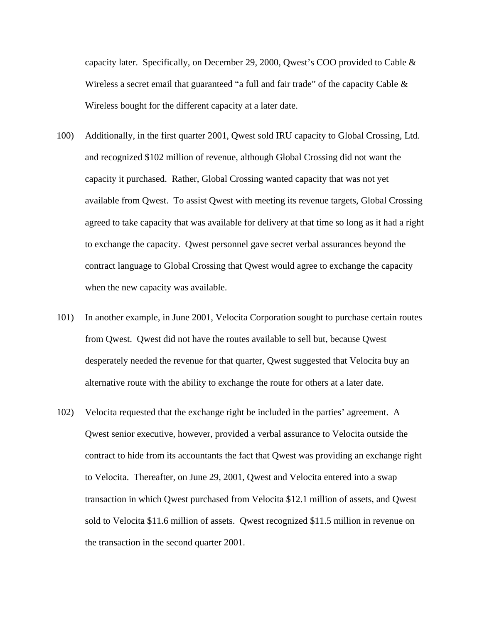capacity later. Specifically, on December 29, 2000, Qwest's COO provided to Cable & Wireless a secret email that guaranteed "a full and fair trade" of the capacity Cable  $\&$ Wireless bought for the different capacity at a later date.

- 100) Additionally, in the first quarter 2001, Qwest sold IRU capacity to Global Crossing, Ltd. and recognized \$102 million of revenue, although Global Crossing did not want the capacity it purchased. Rather, Global Crossing wanted capacity that was not yet available from Qwest. To assist Qwest with meeting its revenue targets, Global Crossing agreed to take capacity that was available for delivery at that time so long as it had a right to exchange the capacity. Qwest personnel gave secret verbal assurances beyond the contract language to Global Crossing that Qwest would agree to exchange the capacity when the new capacity was available.
- 101) In another example, in June 2001, Velocita Corporation sought to purchase certain routes from Qwest. Qwest did not have the routes available to sell but, because Qwest desperately needed the revenue for that quarter, Qwest suggested that Velocita buy an alternative route with the ability to exchange the route for others at a later date.
- 102) Velocita requested that the exchange right be included in the parties' agreement. A Qwest senior executive, however, provided a verbal assurance to Velocita outside the contract to hide from its accountants the fact that Qwest was providing an exchange right to Velocita. Thereafter, on June 29, 2001, Qwest and Velocita entered into a swap transaction in which Qwest purchased from Velocita \$12.1 million of assets, and Qwest sold to Velocita \$11.6 million of assets. Qwest recognized \$11.5 million in revenue on the transaction in the second quarter 2001.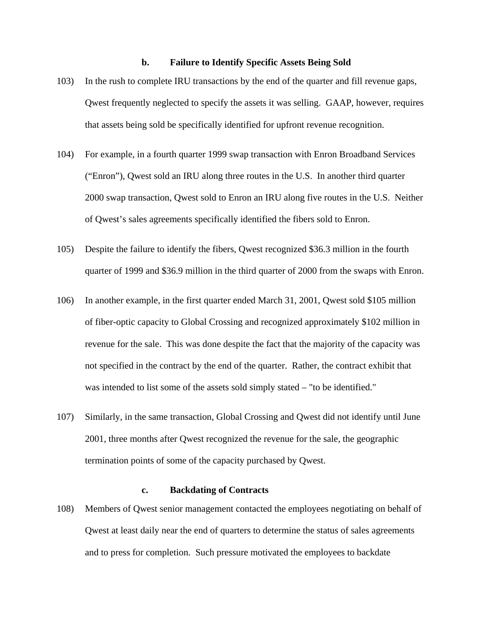## **b. Failure to Identify Specific Assets Being Sold**

- 103) In the rush to complete IRU transactions by the end of the quarter and fill revenue gaps, Qwest frequently neglected to specify the assets it was selling. GAAP, however, requires that assets being sold be specifically identified for upfront revenue recognition.
- 104) For example, in a fourth quarter 1999 swap transaction with Enron Broadband Services ("Enron"), Qwest sold an IRU along three routes in the U.S. In another third quarter 2000 swap transaction, Qwest sold to Enron an IRU along five routes in the U.S. Neither of Qwest's sales agreements specifically identified the fibers sold to Enron.
- 105) Despite the failure to identify the fibers, Qwest recognized \$36.3 million in the fourth quarter of 1999 and \$36.9 million in the third quarter of 2000 from the swaps with Enron.
- 106) In another example, in the first quarter ended March 31, 2001, Qwest sold \$105 million of fiber-optic capacity to Global Crossing and recognized approximately \$102 million in revenue for the sale. This was done despite the fact that the majority of the capacity was not specified in the contract by the end of the quarter. Rather, the contract exhibit that was intended to list some of the assets sold simply stated – "to be identified."
- 107) Similarly, in the same transaction, Global Crossing and Qwest did not identify until June 2001, three months after Qwest recognized the revenue for the sale, the geographic termination points of some of the capacity purchased by Qwest.

# **c. Backdating of Contracts**

108) Members of Qwest senior management contacted the employees negotiating on behalf of Qwest at least daily near the end of quarters to determine the status of sales agreements and to press for completion. Such pressure motivated the employees to backdate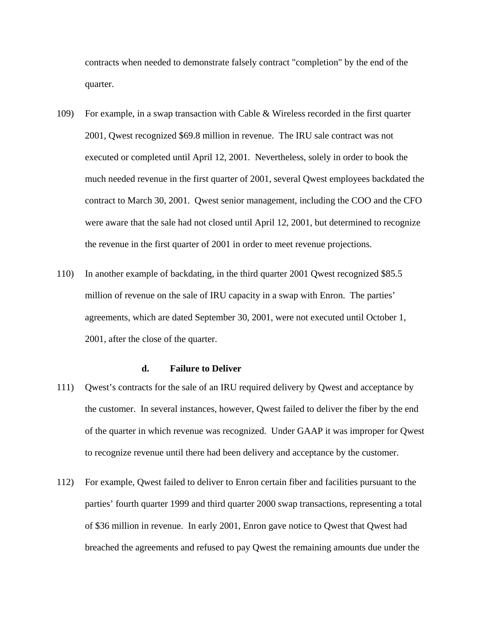contracts when needed to demonstrate falsely contract "completion" by the end of the quarter.

- 109) For example, in a swap transaction with Cable & Wireless recorded in the first quarter 2001, Qwest recognized \$69.8 million in revenue. The IRU sale contract was not executed or completed until April 12, 2001. Nevertheless, solely in order to book the much needed revenue in the first quarter of 2001, several Qwest employees backdated the contract to March 30, 2001. Qwest senior management, including the COO and the CFO were aware that the sale had not closed until April 12, 2001, but determined to recognize the revenue in the first quarter of 2001 in order to meet revenue projections.
- 110) In another example of backdating, in the third quarter 2001 Qwest recognized \$85.5 million of revenue on the sale of IRU capacity in a swap with Enron. The parties' agreements, which are dated September 30, 2001, were not executed until October 1, 2001, after the close of the quarter.

#### **d. Failure to Deliver**

- 111) Qwest's contracts for the sale of an IRU required delivery by Qwest and acceptance by the customer. In several instances, however, Qwest failed to deliver the fiber by the end of the quarter in which revenue was recognized. Under GAAP it was improper for Qwest to recognize revenue until there had been delivery and acceptance by the customer.
- 112) For example, Qwest failed to deliver to Enron certain fiber and facilities pursuant to the parties' fourth quarter 1999 and third quarter 2000 swap transactions, representing a total of \$36 million in revenue. In early 2001, Enron gave notice to Qwest that Qwest had breached the agreements and refused to pay Qwest the remaining amounts due under the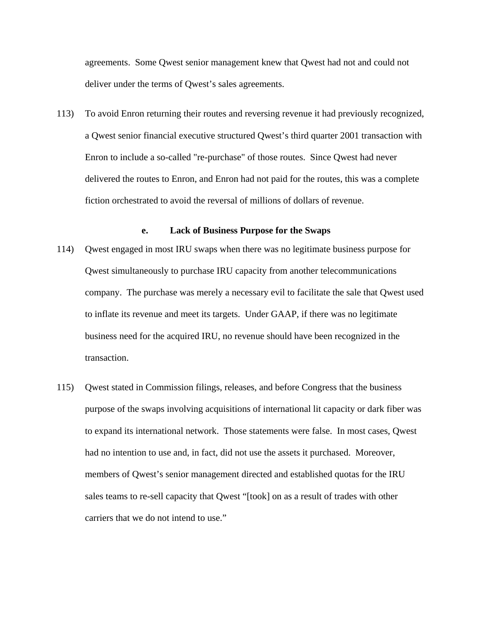agreements. Some Qwest senior management knew that Qwest had not and could not deliver under the terms of Qwest's sales agreements.

113) To avoid Enron returning their routes and reversing revenue it had previously recognized, a Qwest senior financial executive structured Qwest's third quarter 2001 transaction with Enron to include a so-called "re-purchase" of those routes. Since Qwest had never delivered the routes to Enron, and Enron had not paid for the routes, this was a complete fiction orchestrated to avoid the reversal of millions of dollars of revenue.

## **e. Lack of Business Purpose for the Swaps**

- 114) Qwest engaged in most IRU swaps when there was no legitimate business purpose for Qwest simultaneously to purchase IRU capacity from another telecommunications company. The purchase was merely a necessary evil to facilitate the sale that Qwest used to inflate its revenue and meet its targets. Under GAAP, if there was no legitimate business need for the acquired IRU, no revenue should have been recognized in the transaction.
- 115) Qwest stated in Commission filings, releases, and before Congress that the business purpose of the swaps involving acquisitions of international lit capacity or dark fiber was to expand its international network. Those statements were false. In most cases, Qwest had no intention to use and, in fact, did not use the assets it purchased. Moreover, members of Qwest's senior management directed and established quotas for the IRU sales teams to re-sell capacity that Qwest "[took] on as a result of trades with other carriers that we do not intend to use."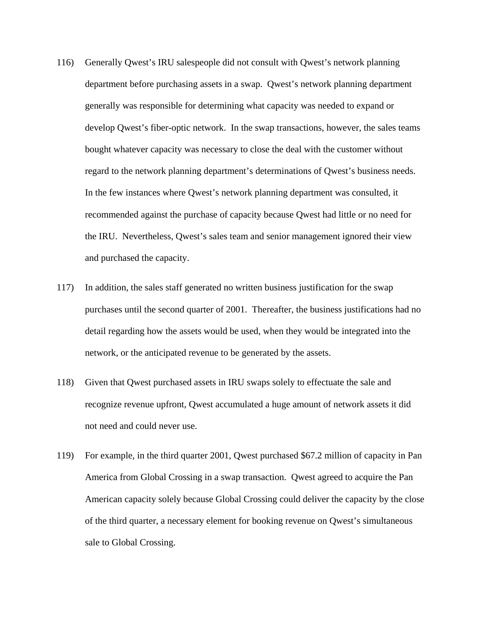- 116) Generally Qwest's IRU salespeople did not consult with Qwest's network planning department before purchasing assets in a swap. Qwest's network planning department generally was responsible for determining what capacity was needed to expand or develop Qwest's fiber-optic network. In the swap transactions, however, the sales teams bought whatever capacity was necessary to close the deal with the customer without regard to the network planning department's determinations of Qwest's business needs. In the few instances where Qwest's network planning department was consulted, it recommended against the purchase of capacity because Qwest had little or no need for the IRU. Nevertheless, Qwest's sales team and senior management ignored their view and purchased the capacity.
- 117) In addition, the sales staff generated no written business justification for the swap purchases until the second quarter of 2001. Thereafter, the business justifications had no detail regarding how the assets would be used, when they would be integrated into the network, or the anticipated revenue to be generated by the assets.
- 118) Given that Qwest purchased assets in IRU swaps solely to effectuate the sale and recognize revenue upfront, Qwest accumulated a huge amount of network assets it did not need and could never use.
- 119) For example, in the third quarter 2001, Qwest purchased \$67.2 million of capacity in Pan America from Global Crossing in a swap transaction. Qwest agreed to acquire the Pan American capacity solely because Global Crossing could deliver the capacity by the close of the third quarter, a necessary element for booking revenue on Qwest's simultaneous sale to Global Crossing.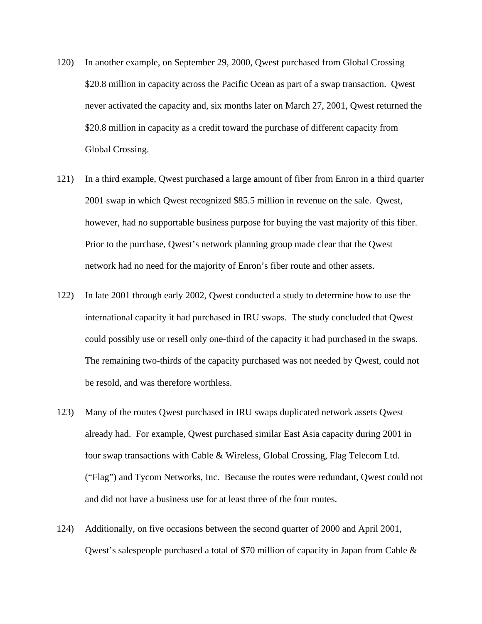- 120) In another example, on September 29, 2000, Qwest purchased from Global Crossing \$20.8 million in capacity across the Pacific Ocean as part of a swap transaction. Qwest never activated the capacity and, six months later on March 27, 2001, Qwest returned the \$20.8 million in capacity as a credit toward the purchase of different capacity from Global Crossing.
- 121) In a third example, Qwest purchased a large amount of fiber from Enron in a third quarter 2001 swap in which Qwest recognized \$85.5 million in revenue on the sale. Qwest, however, had no supportable business purpose for buying the vast majority of this fiber. Prior to the purchase, Qwest's network planning group made clear that the Qwest network had no need for the majority of Enron's fiber route and other assets.
- 122) In late 2001 through early 2002, Qwest conducted a study to determine how to use the international capacity it had purchased in IRU swaps. The study concluded that Qwest could possibly use or resell only one-third of the capacity it had purchased in the swaps. The remaining two-thirds of the capacity purchased was not needed by Qwest, could not be resold, and was therefore worthless.
- 123) Many of the routes Qwest purchased in IRU swaps duplicated network assets Qwest already had. For example, Qwest purchased similar East Asia capacity during 2001 in four swap transactions with Cable & Wireless, Global Crossing, Flag Telecom Ltd. ("Flag") and Tycom Networks, Inc. Because the routes were redundant, Qwest could not and did not have a business use for at least three of the four routes.
- 124) Additionally, on five occasions between the second quarter of 2000 and April 2001, Qwest's salespeople purchased a total of \$70 million of capacity in Japan from Cable &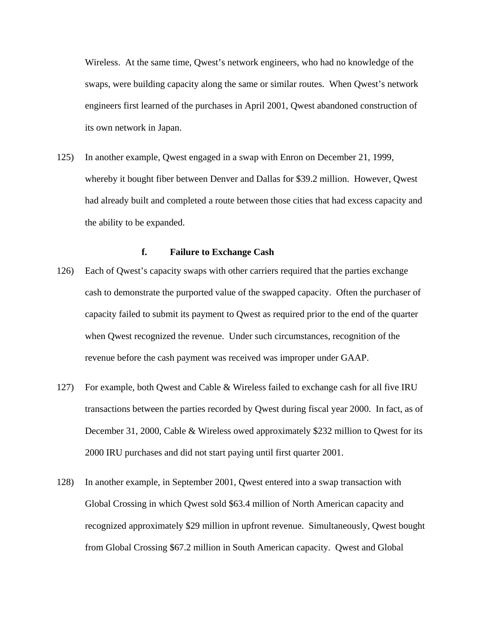Wireless. At the same time, Qwest's network engineers, who had no knowledge of the swaps, were building capacity along the same or similar routes. When Qwest's network engineers first learned of the purchases in April 2001, Qwest abandoned construction of its own network in Japan.

125) In another example, Qwest engaged in a swap with Enron on December 21, 1999, whereby it bought fiber between Denver and Dallas for \$39.2 million. However, Qwest had already built and completed a route between those cities that had excess capacity and the ability to be expanded.

# **f. Failure to Exchange Cash**

- 126) Each of Qwest's capacity swaps with other carriers required that the parties exchange cash to demonstrate the purported value of the swapped capacity. Often the purchaser of capacity failed to submit its payment to Qwest as required prior to the end of the quarter when Qwest recognized the revenue. Under such circumstances, recognition of the revenue before the cash payment was received was improper under GAAP.
- 127) For example, both Qwest and Cable & Wireless failed to exchange cash for all five IRU transactions between the parties recorded by Qwest during fiscal year 2000. In fact, as of December 31, 2000, Cable & Wireless owed approximately \$232 million to Qwest for its 2000 IRU purchases and did not start paying until first quarter 2001.
- 128) In another example, in September 2001, Qwest entered into a swap transaction with Global Crossing in which Qwest sold \$63.4 million of North American capacity and recognized approximately \$29 million in upfront revenue. Simultaneously, Qwest bought from Global Crossing \$67.2 million in South American capacity. Qwest and Global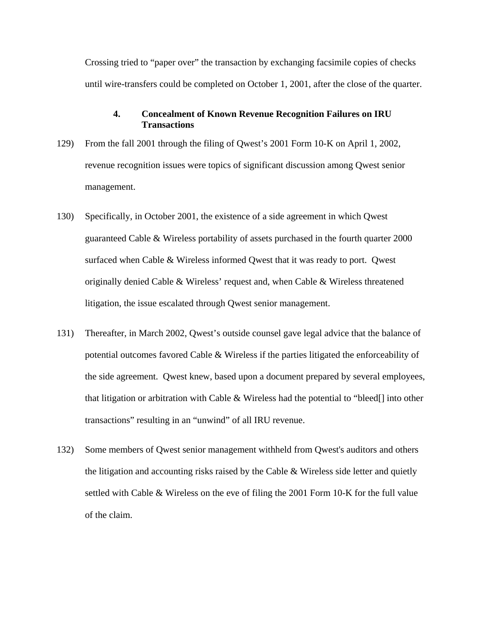Crossing tried to "paper over" the transaction by exchanging facsimile copies of checks until wire-transfers could be completed on October 1, 2001, after the close of the quarter.

# **4. Concealment of Known Revenue Recognition Failures on IRU Transactions**

- 129) From the fall 2001 through the filing of Qwest's 2001 Form 10-K on April 1, 2002, revenue recognition issues were topics of significant discussion among Qwest senior management.
- 130) Specifically, in October 2001, the existence of a side agreement in which Qwest guaranteed Cable & Wireless portability of assets purchased in the fourth quarter 2000 surfaced when Cable & Wireless informed Qwest that it was ready to port. Qwest originally denied Cable & Wireless' request and, when Cable & Wireless threatened litigation, the issue escalated through Qwest senior management.
- 131) Thereafter, in March 2002, Qwest's outside counsel gave legal advice that the balance of potential outcomes favored Cable & Wireless if the parties litigated the enforceability of the side agreement. Qwest knew, based upon a document prepared by several employees, that litigation or arbitration with Cable & Wireless had the potential to "bleed[] into other transactions" resulting in an "unwind" of all IRU revenue.
- 132) Some members of Qwest senior management withheld from Qwest's auditors and others the litigation and accounting risks raised by the Cable & Wireless side letter and quietly settled with Cable & Wireless on the eve of filing the 2001 Form 10-K for the full value of the claim.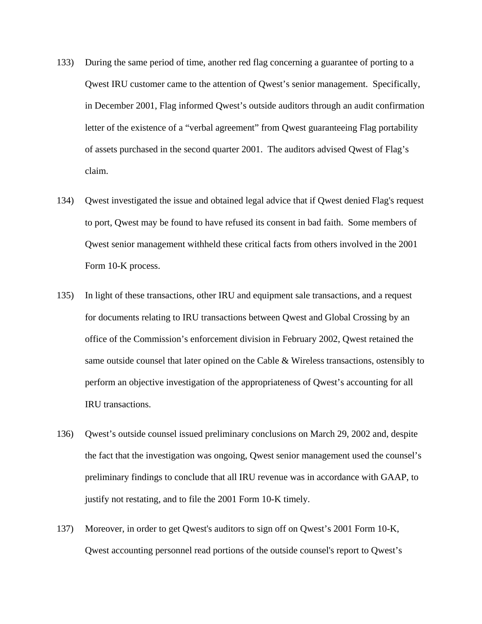- 133) During the same period of time, another red flag concerning a guarantee of porting to a Qwest IRU customer came to the attention of Qwest's senior management. Specifically, in December 2001, Flag informed Qwest's outside auditors through an audit confirmation letter of the existence of a "verbal agreement" from Qwest guaranteeing Flag portability of assets purchased in the second quarter 2001. The auditors advised Qwest of Flag's claim.
- 134) Qwest investigated the issue and obtained legal advice that if Qwest denied Flag's request to port, Qwest may be found to have refused its consent in bad faith. Some members of Qwest senior management withheld these critical facts from others involved in the 2001 Form 10-K process.
- 135) In light of these transactions, other IRU and equipment sale transactions, and a request for documents relating to IRU transactions between Qwest and Global Crossing by an office of the Commission's enforcement division in February 2002, Qwest retained the same outside counsel that later opined on the Cable & Wireless transactions, ostensibly to perform an objective investigation of the appropriateness of Qwest's accounting for all IRU transactions.
- 136) Qwest's outside counsel issued preliminary conclusions on March 29, 2002 and, despite the fact that the investigation was ongoing, Qwest senior management used the counsel's preliminary findings to conclude that all IRU revenue was in accordance with GAAP, to justify not restating, and to file the 2001 Form 10-K timely.
- 137) Moreover, in order to get Qwest's auditors to sign off on Qwest's 2001 Form 10-K, Qwest accounting personnel read portions of the outside counsel's report to Qwest's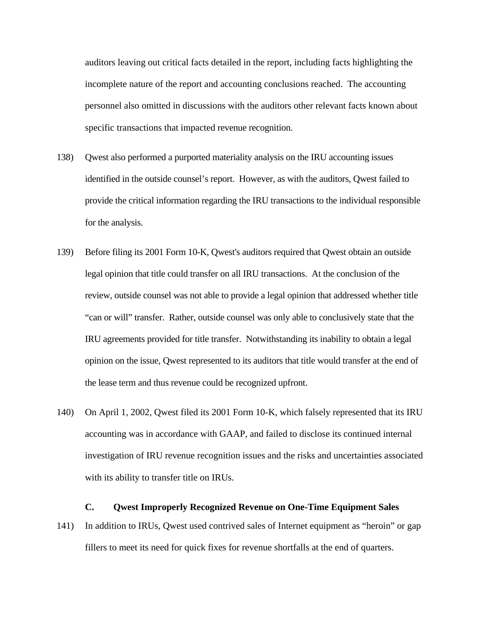auditors leaving out critical facts detailed in the report, including facts highlighting the incomplete nature of the report and accounting conclusions reached. The accounting personnel also omitted in discussions with the auditors other relevant facts known about specific transactions that impacted revenue recognition.

- 138) Qwest also performed a purported materiality analysis on the IRU accounting issues identified in the outside counsel's report. However, as with the auditors, Qwest failed to provide the critical information regarding the IRU transactions to the individual responsible for the analysis.
- 139) Before filing its 2001 Form 10-K, Qwest's auditors required that Qwest obtain an outside legal opinion that title could transfer on all IRU transactions. At the conclusion of the review, outside counsel was not able to provide a legal opinion that addressed whether title "can or will" transfer. Rather, outside counsel was only able to conclusively state that the IRU agreements provided for title transfer. Notwithstanding its inability to obtain a legal opinion on the issue, Qwest represented to its auditors that title would transfer at the end of the lease term and thus revenue could be recognized upfront.
- 140) On April 1, 2002, Qwest filed its 2001 Form 10-K, which falsely represented that its IRU accounting was in accordance with GAAP, and failed to disclose its continued internal investigation of IRU revenue recognition issues and the risks and uncertainties associated with its ability to transfer title on IRUs.

# **C. Qwest Improperly Recognized Revenue on One-Time Equipment Sales**

141) In addition to IRUs, Qwest used contrived sales of Internet equipment as "heroin" or gap fillers to meet its need for quick fixes for revenue shortfalls at the end of quarters.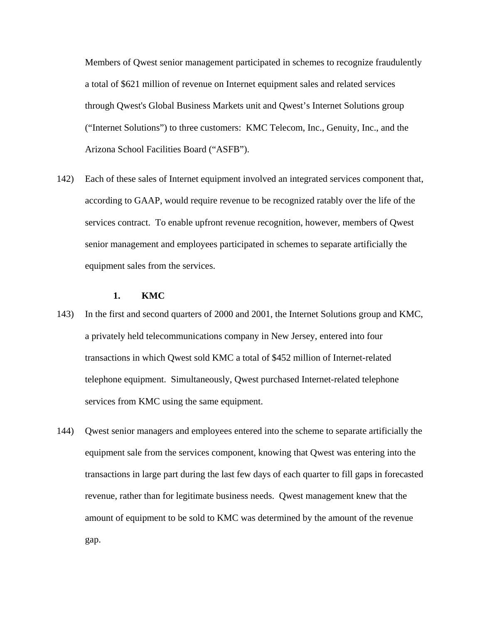Members of Qwest senior management participated in schemes to recognize fraudulently a total of \$621 million of revenue on Internet equipment sales and related services through Qwest's Global Business Markets unit and Qwest's Internet Solutions group ("Internet Solutions") to three customers: KMC Telecom, Inc., Genuity, Inc., and the Arizona School Facilities Board ("ASFB").

142) Each of these sales of Internet equipment involved an integrated services component that, according to GAAP, would require revenue to be recognized ratably over the life of the services contract. To enable upfront revenue recognition, however, members of Qwest senior management and employees participated in schemes to separate artificially the equipment sales from the services.

## **1. KMC**

- 143) In the first and second quarters of 2000 and 2001, the Internet Solutions group and KMC, a privately held telecommunications company in New Jersey, entered into four transactions in which Qwest sold KMC a total of \$452 million of Internet-related telephone equipment. Simultaneously, Qwest purchased Internet-related telephone services from KMC using the same equipment.
- 144) Qwest senior managers and employees entered into the scheme to separate artificially the equipment sale from the services component, knowing that Qwest was entering into the transactions in large part during the last few days of each quarter to fill gaps in forecasted revenue, rather than for legitimate business needs. Qwest management knew that the amount of equipment to be sold to KMC was determined by the amount of the revenue gap.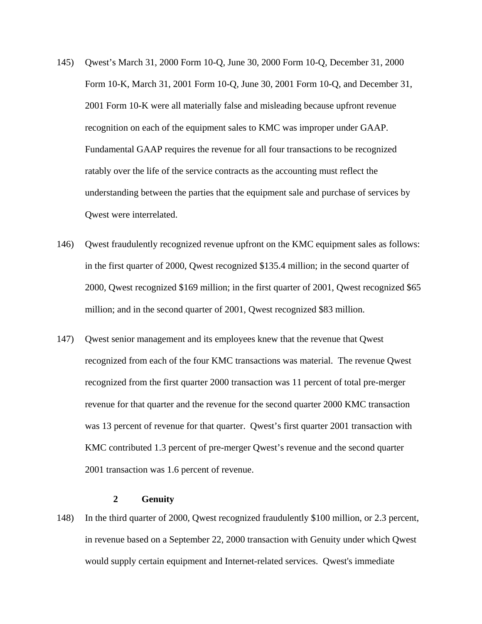- 145) Qwest's March 31, 2000 Form 10-Q, June 30, 2000 Form 10-Q, December 31, 2000 Form 10-K, March 31, 2001 Form 10-Q, June 30, 2001 Form 10-Q, and December 31, 2001 Form 10-K were all materially false and misleading because upfront revenue recognition on each of the equipment sales to KMC was improper under GAAP. Fundamental GAAP requires the revenue for all four transactions to be recognized ratably over the life of the service contracts as the accounting must reflect the understanding between the parties that the equipment sale and purchase of services by Qwest were interrelated.
- 146) Qwest fraudulently recognized revenue upfront on the KMC equipment sales as follows: in the first quarter of 2000, Qwest recognized \$135.4 million; in the second quarter of 2000, Qwest recognized \$169 million; in the first quarter of 2001, Qwest recognized \$65 million; and in the second quarter of 2001, Qwest recognized \$83 million.
- 147) Qwest senior management and its employees knew that the revenue that Qwest recognized from each of the four KMC transactions was material. The revenue Qwest recognized from the first quarter 2000 transaction was 11 percent of total pre-merger revenue for that quarter and the revenue for the second quarter 2000 KMC transaction was 13 percent of revenue for that quarter. Qwest's first quarter 2001 transaction with KMC contributed 1.3 percent of pre-merger Qwest's revenue and the second quarter 2001 transaction was 1.6 percent of revenue.

# **2 Genuity**

148) In the third quarter of 2000, Qwest recognized fraudulently \$100 million, or 2.3 percent, in revenue based on a September 22, 2000 transaction with Genuity under which Qwest would supply certain equipment and Internet-related services. Qwest's immediate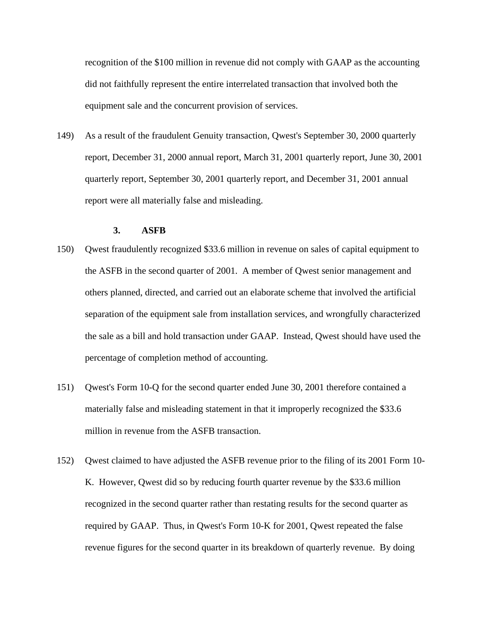recognition of the \$100 million in revenue did not comply with GAAP as the accounting did not faithfully represent the entire interrelated transaction that involved both the equipment sale and the concurrent provision of services.

149) As a result of the fraudulent Genuity transaction, Qwest's September 30, 2000 quarterly report, December 31, 2000 annual report, March 31, 2001 quarterly report, June 30, 2001 quarterly report, September 30, 2001 quarterly report, and December 31, 2001 annual report were all materially false and misleading.

## **3. ASFB**

- 150) Qwest fraudulently recognized \$33.6 million in revenue on sales of capital equipment to the ASFB in the second quarter of 2001. A member of Qwest senior management and others planned, directed, and carried out an elaborate scheme that involved the artificial separation of the equipment sale from installation services, and wrongfully characterized the sale as a bill and hold transaction under GAAP. Instead, Qwest should have used the percentage of completion method of accounting.
- 151) Qwest's Form 10-Q for the second quarter ended June 30, 2001 therefore contained a materially false and misleading statement in that it improperly recognized the \$33.6 million in revenue from the ASFB transaction.
- 152) Qwest claimed to have adjusted the ASFB revenue prior to the filing of its 2001 Form 10- K. However, Qwest did so by reducing fourth quarter revenue by the \$33.6 million recognized in the second quarter rather than restating results for the second quarter as required by GAAP. Thus, in Qwest's Form 10-K for 2001, Qwest repeated the false revenue figures for the second quarter in its breakdown of quarterly revenue. By doing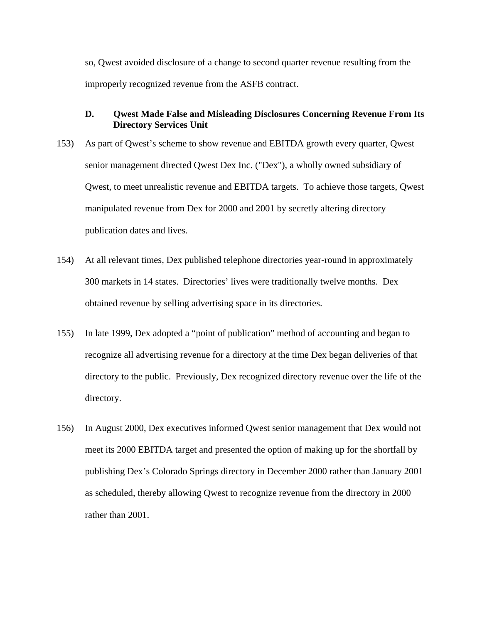so, Qwest avoided disclosure of a change to second quarter revenue resulting from the improperly recognized revenue from the ASFB contract.

# **D. Qwest Made False and Misleading Disclosures Concerning Revenue From Its Directory Services Unit**

- 153) As part of Qwest's scheme to show revenue and EBITDA growth every quarter, Qwest senior management directed Qwest Dex Inc. ("Dex"), a wholly owned subsidiary of Qwest, to meet unrealistic revenue and EBITDA targets. To achieve those targets, Qwest manipulated revenue from Dex for 2000 and 2001 by secretly altering directory publication dates and lives.
- 154) At all relevant times, Dex published telephone directories year-round in approximately 300 markets in 14 states. Directories' lives were traditionally twelve months. Dex obtained revenue by selling advertising space in its directories.
- 155) In late 1999, Dex adopted a "point of publication" method of accounting and began to recognize all advertising revenue for a directory at the time Dex began deliveries of that directory to the public. Previously, Dex recognized directory revenue over the life of the directory.
- 156) In August 2000, Dex executives informed Qwest senior management that Dex would not meet its 2000 EBITDA target and presented the option of making up for the shortfall by publishing Dex's Colorado Springs directory in December 2000 rather than January 2001 as scheduled, thereby allowing Qwest to recognize revenue from the directory in 2000 rather than 2001.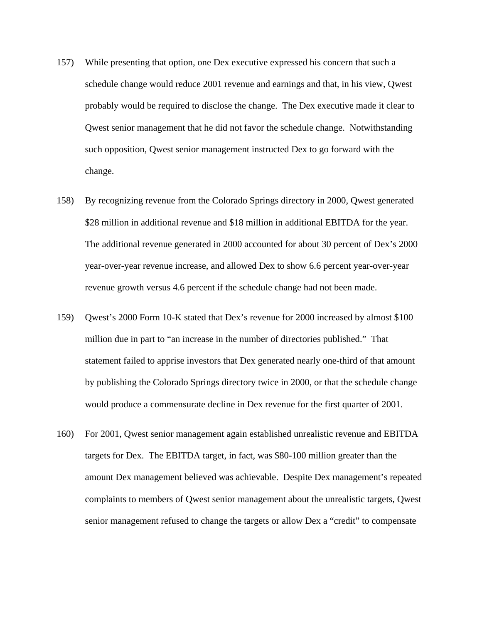- 157) While presenting that option, one Dex executive expressed his concern that such a schedule change would reduce 2001 revenue and earnings and that, in his view, Qwest probably would be required to disclose the change. The Dex executive made it clear to Qwest senior management that he did not favor the schedule change. Notwithstanding such opposition, Qwest senior management instructed Dex to go forward with the change.
- 158) By recognizing revenue from the Colorado Springs directory in 2000, Qwest generated \$28 million in additional revenue and \$18 million in additional EBITDA for the year. The additional revenue generated in 2000 accounted for about 30 percent of Dex's 2000 year-over-year revenue increase, and allowed Dex to show 6.6 percent year-over-year revenue growth versus 4.6 percent if the schedule change had not been made.
- 159) Qwest's 2000 Form 10-K stated that Dex's revenue for 2000 increased by almost \$100 million due in part to "an increase in the number of directories published." That statement failed to apprise investors that Dex generated nearly one-third of that amount by publishing the Colorado Springs directory twice in 2000, or that the schedule change would produce a commensurate decline in Dex revenue for the first quarter of 2001.
- 160) For 2001, Qwest senior management again established unrealistic revenue and EBITDA targets for Dex. The EBITDA target, in fact, was \$80-100 million greater than the amount Dex management believed was achievable. Despite Dex management's repeated complaints to members of Qwest senior management about the unrealistic targets, Qwest senior management refused to change the targets or allow Dex a "credit" to compensate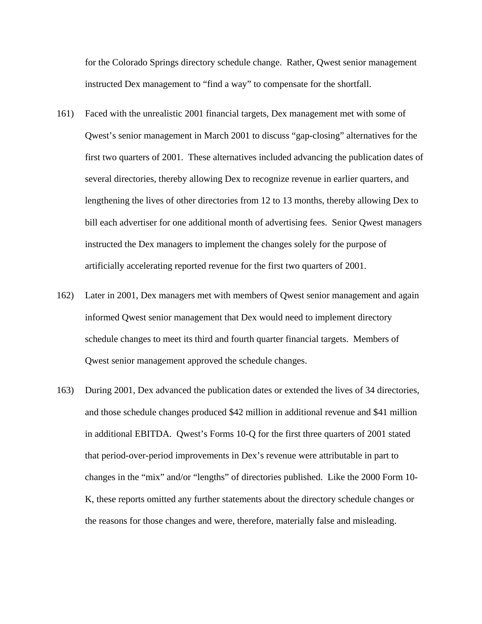for the Colorado Springs directory schedule change. Rather, Qwest senior management instructed Dex management to "find a way" to compensate for the shortfall.

- 161) Faced with the unrealistic 2001 financial targets, Dex management met with some of Qwest's senior management in March 2001 to discuss "gap-closing" alternatives for the first two quarters of 2001. These alternatives included advancing the publication dates of several directories, thereby allowing Dex to recognize revenue in earlier quarters, and lengthening the lives of other directories from 12 to 13 months, thereby allowing Dex to bill each advertiser for one additional month of advertising fees. Senior Qwest managers instructed the Dex managers to implement the changes solely for the purpose of artificially accelerating reported revenue for the first two quarters of 2001.
- 162) Later in 2001, Dex managers met with members of Qwest senior management and again informed Qwest senior management that Dex would need to implement directory schedule changes to meet its third and fourth quarter financial targets. Members of Qwest senior management approved the schedule changes.
- 163) During 2001, Dex advanced the publication dates or extended the lives of 34 directories, and those schedule changes produced \$42 million in additional revenue and \$41 million in additional EBITDA. Qwest's Forms 10-Q for the first three quarters of 2001 stated that period-over-period improvements in Dex's revenue were attributable in part to changes in the "mix" and/or "lengths" of directories published. Like the 2000 Form 10- K, these reports omitted any further statements about the directory schedule changes or the reasons for those changes and were, therefore, materially false and misleading.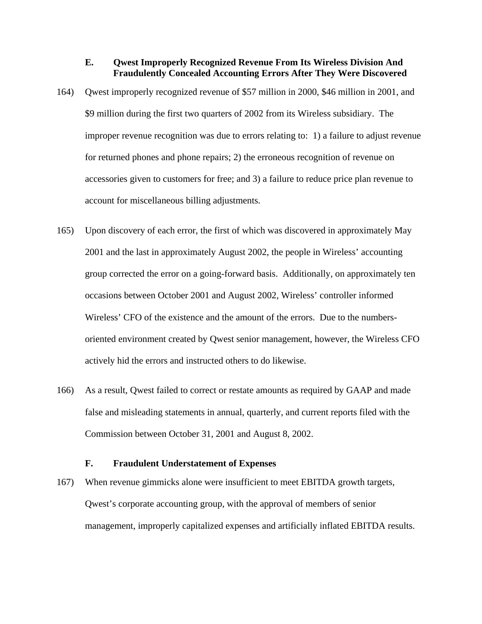# **E. Qwest Improperly Recognized Revenue From Its Wireless Division And Fraudulently Concealed Accounting Errors After They Were Discovered**

- 164) Qwest improperly recognized revenue of \$57 million in 2000, \$46 million in 2001, and \$9 million during the first two quarters of 2002 from its Wireless subsidiary. The improper revenue recognition was due to errors relating to: 1) a failure to adjust revenue for returned phones and phone repairs; 2) the erroneous recognition of revenue on accessories given to customers for free; and 3) a failure to reduce price plan revenue to account for miscellaneous billing adjustments.
- 165) Upon discovery of each error, the first of which was discovered in approximately May 2001 and the last in approximately August 2002, the people in Wireless' accounting group corrected the error on a going-forward basis. Additionally, on approximately ten occasions between October 2001 and August 2002, Wireless' controller informed Wireless' CFO of the existence and the amount of the errors. Due to the numbersoriented environment created by Qwest senior management, however, the Wireless CFO actively hid the errors and instructed others to do likewise.
- 166) As a result, Qwest failed to correct or restate amounts as required by GAAP and made false and misleading statements in annual, quarterly, and current reports filed with the Commission between October 31, 2001 and August 8, 2002.

# **F. Fraudulent Understatement of Expenses**

167) When revenue gimmicks alone were insufficient to meet EBITDA growth targets, Qwest's corporate accounting group, with the approval of members of senior management, improperly capitalized expenses and artificially inflated EBITDA results.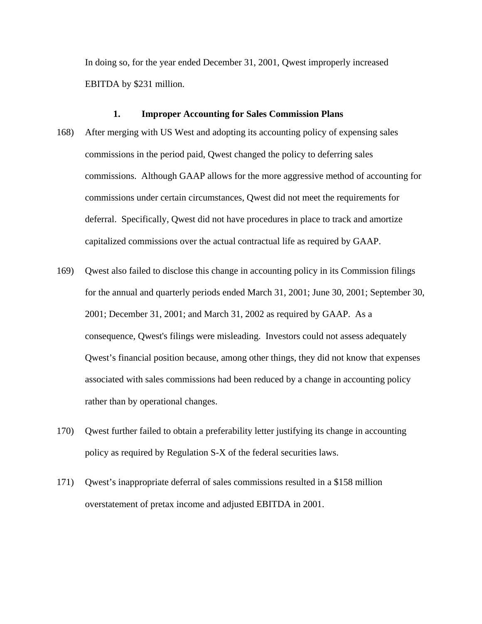In doing so, for the year ended December 31, 2001, Qwest improperly increased EBITDA by \$231 million.

#### **1. Improper Accounting for Sales Commission Plans**

- 168) After merging with US West and adopting its accounting policy of expensing sales commissions in the period paid, Qwest changed the policy to deferring sales commissions. Although GAAP allows for the more aggressive method of accounting for commissions under certain circumstances, Qwest did not meet the requirements for deferral. Specifically, Qwest did not have procedures in place to track and amortize capitalized commissions over the actual contractual life as required by GAAP.
- 169) Qwest also failed to disclose this change in accounting policy in its Commission filings for the annual and quarterly periods ended March 31, 2001; June 30, 2001; September 30, 2001; December 31, 2001; and March 31, 2002 as required by GAAP. As a consequence, Qwest's filings were misleading. Investors could not assess adequately Qwest's financial position because, among other things, they did not know that expenses associated with sales commissions had been reduced by a change in accounting policy rather than by operational changes.
- 170) Qwest further failed to obtain a preferability letter justifying its change in accounting policy as required by Regulation S-X of the federal securities laws.
- 171) Qwest's inappropriate deferral of sales commissions resulted in a \$158 million overstatement of pretax income and adjusted EBITDA in 2001.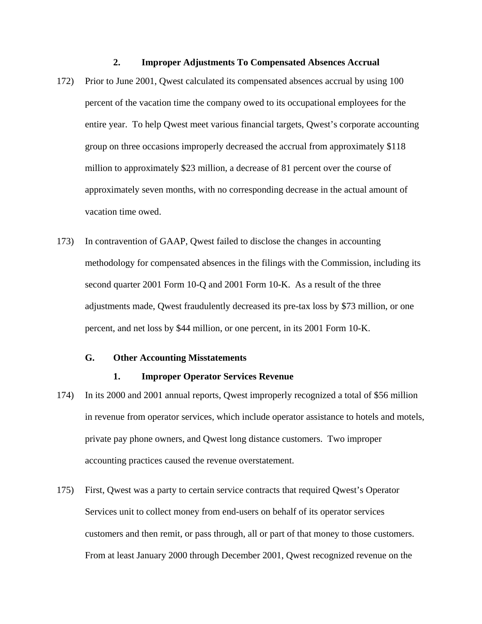#### **2. Improper Adjustments To Compensated Absences Accrual**

- 172) Prior to June 2001, Qwest calculated its compensated absences accrual by using 100 percent of the vacation time the company owed to its occupational employees for the entire year. To help Qwest meet various financial targets, Qwest's corporate accounting group on three occasions improperly decreased the accrual from approximately \$118 million to approximately \$23 million, a decrease of 81 percent over the course of approximately seven months, with no corresponding decrease in the actual amount of vacation time owed.
- 173) In contravention of GAAP, Qwest failed to disclose the changes in accounting methodology for compensated absences in the filings with the Commission, including its second quarter 2001 Form 10-Q and 2001 Form 10-K. As a result of the three adjustments made, Qwest fraudulently decreased its pre-tax loss by \$73 million, or one percent, and net loss by \$44 million, or one percent, in its 2001 Form 10-K.

# **G. Other Accounting Misstatements**

#### **1. Improper Operator Services Revenue**

- 174) In its 2000 and 2001 annual reports, Qwest improperly recognized a total of \$56 million in revenue from operator services, which include operator assistance to hotels and motels, private pay phone owners, and Qwest long distance customers. Two improper accounting practices caused the revenue overstatement.
- 175) First, Qwest was a party to certain service contracts that required Qwest's Operator Services unit to collect money from end-users on behalf of its operator services customers and then remit, or pass through, all or part of that money to those customers. From at least January 2000 through December 2001, Qwest recognized revenue on the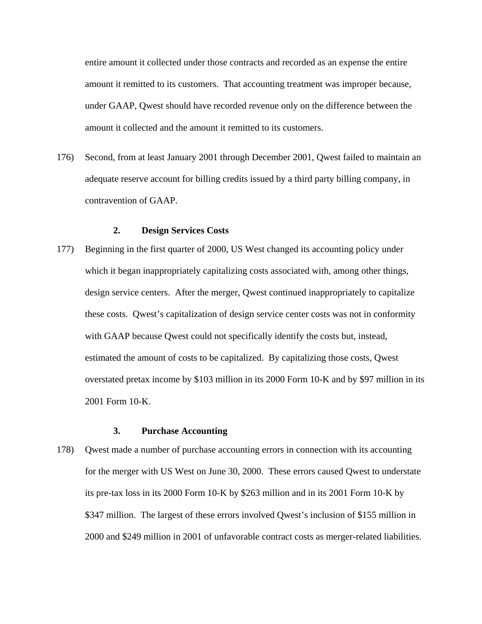entire amount it collected under those contracts and recorded as an expense the entire amount it remitted to its customers. That accounting treatment was improper because, under GAAP, Qwest should have recorded revenue only on the difference between the amount it collected and the amount it remitted to its customers.

176) Second, from at least January 2001 through December 2001, Qwest failed to maintain an adequate reserve account for billing credits issued by a third party billing company, in contravention of GAAP.

## **2. Design Services Costs**

177) Beginning in the first quarter of 2000, US West changed its accounting policy under which it began inappropriately capitalizing costs associated with, among other things, design service centers. After the merger, Qwest continued inappropriately to capitalize these costs. Qwest's capitalization of design service center costs was not in conformity with GAAP because Qwest could not specifically identify the costs but, instead, estimated the amount of costs to be capitalized. By capitalizing those costs, Qwest overstated pretax income by \$103 million in its 2000 Form 10-K and by \$97 million in its 2001 Form 10-K.

# **3. Purchase Accounting**

178) Qwest made a number of purchase accounting errors in connection with its accounting for the merger with US West on June 30, 2000. These errors caused Qwest to understate its pre-tax loss in its 2000 Form 10-K by \$263 million and in its 2001 Form 10-K by \$347 million. The largest of these errors involved Qwest's inclusion of \$155 million in 2000 and \$249 million in 2001 of unfavorable contract costs as merger-related liabilities.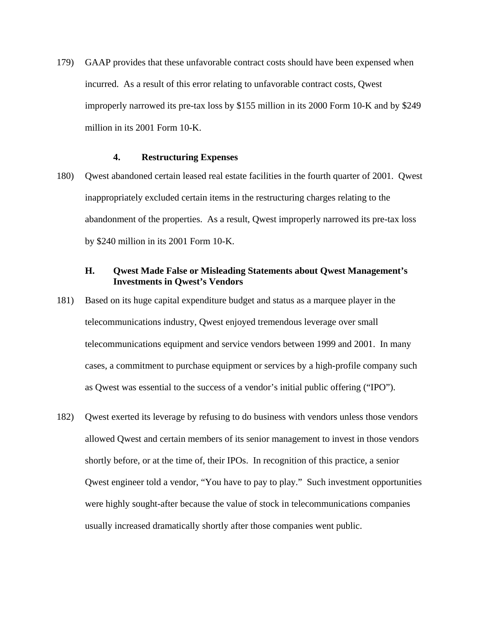179) GAAP provides that these unfavorable contract costs should have been expensed when incurred. As a result of this error relating to unfavorable contract costs, Qwest improperly narrowed its pre-tax loss by \$155 million in its 2000 Form 10-K and by \$249 million in its 2001 Form 10-K.

# **4. Restructuring Expenses**

180) Qwest abandoned certain leased real estate facilities in the fourth quarter of 2001. Qwest inappropriately excluded certain items in the restructuring charges relating to the abandonment of the properties. As a result, Qwest improperly narrowed its pre-tax loss by \$240 million in its 2001 Form 10-K.

# **H. Qwest Made False or Misleading Statements about Qwest Management's Investments in Qwest's Vendors**

- 181) Based on its huge capital expenditure budget and status as a marquee player in the telecommunications industry, Qwest enjoyed tremendous leverage over small telecommunications equipment and service vendors between 1999 and 2001. In many cases, a commitment to purchase equipment or services by a high-profile company such as Qwest was essential to the success of a vendor's initial public offering ("IPO").
- 182) Qwest exerted its leverage by refusing to do business with vendors unless those vendors allowed Qwest and certain members of its senior management to invest in those vendors shortly before, or at the time of, their IPOs. In recognition of this practice, a senior Qwest engineer told a vendor, "You have to pay to play." Such investment opportunities were highly sought-after because the value of stock in telecommunications companies usually increased dramatically shortly after those companies went public.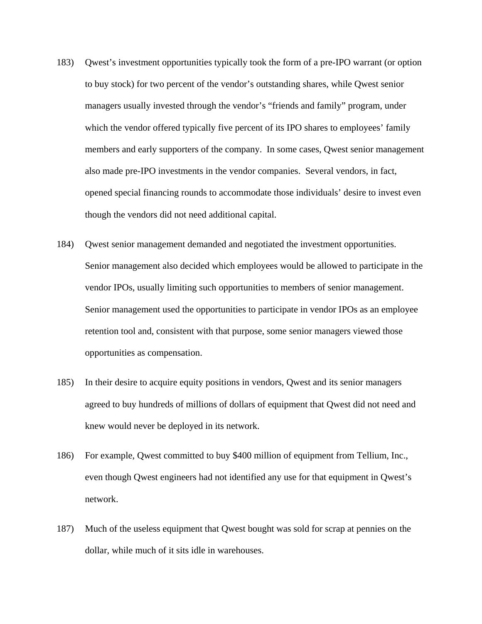- 183) Qwest's investment opportunities typically took the form of a pre-IPO warrant (or option to buy stock) for two percent of the vendor's outstanding shares, while Qwest senior managers usually invested through the vendor's "friends and family" program, under which the vendor offered typically five percent of its IPO shares to employees' family members and early supporters of the company. In some cases, Qwest senior management also made pre-IPO investments in the vendor companies. Several vendors, in fact, opened special financing rounds to accommodate those individuals' desire to invest even though the vendors did not need additional capital.
- 184) Qwest senior management demanded and negotiated the investment opportunities. Senior management also decided which employees would be allowed to participate in the vendor IPOs, usually limiting such opportunities to members of senior management. Senior management used the opportunities to participate in vendor IPOs as an employee retention tool and, consistent with that purpose, some senior managers viewed those opportunities as compensation.
- 185) In their desire to acquire equity positions in vendors, Qwest and its senior managers agreed to buy hundreds of millions of dollars of equipment that Qwest did not need and knew would never be deployed in its network.
- 186) For example, Qwest committed to buy \$400 million of equipment from Tellium, Inc., even though Qwest engineers had not identified any use for that equipment in Qwest's network.
- 187) Much of the useless equipment that Qwest bought was sold for scrap at pennies on the dollar, while much of it sits idle in warehouses.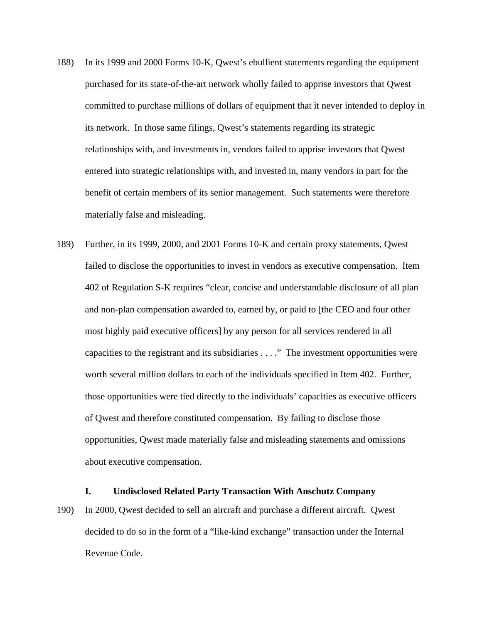- 188) In its 1999 and 2000 Forms 10-K, Qwest's ebullient statements regarding the equipment purchased for its state-of-the-art network wholly failed to apprise investors that Qwest committed to purchase millions of dollars of equipment that it never intended to deploy in its network. In those same filings, Qwest's statements regarding its strategic relationships with, and investments in, vendors failed to apprise investors that Qwest entered into strategic relationships with, and invested in, many vendors in part for the benefit of certain members of its senior management. Such statements were therefore materially false and misleading.
- 189) Further, in its 1999, 2000, and 2001 Forms 10-K and certain proxy statements, Qwest failed to disclose the opportunities to invest in vendors as executive compensation. Item 402 of Regulation S-K requires "clear, concise and understandable disclosure of all plan and non-plan compensation awarded to, earned by, or paid to [the CEO and four other most highly paid executive officers] by any person for all services rendered in all capacities to the registrant and its subsidiaries . . . ." The investment opportunities were worth several million dollars to each of the individuals specified in Item 402. Further, those opportunities were tied directly to the individuals' capacities as executive officers of Qwest and therefore constituted compensation. By failing to disclose those opportunities, Qwest made materially false and misleading statements and omissions about executive compensation.

# **I. Undisclosed Related Party Transaction With Anschutz Company**

190) In 2000, Qwest decided to sell an aircraft and purchase a different aircraft. Qwest decided to do so in the form of a "like-kind exchange" transaction under the Internal Revenue Code.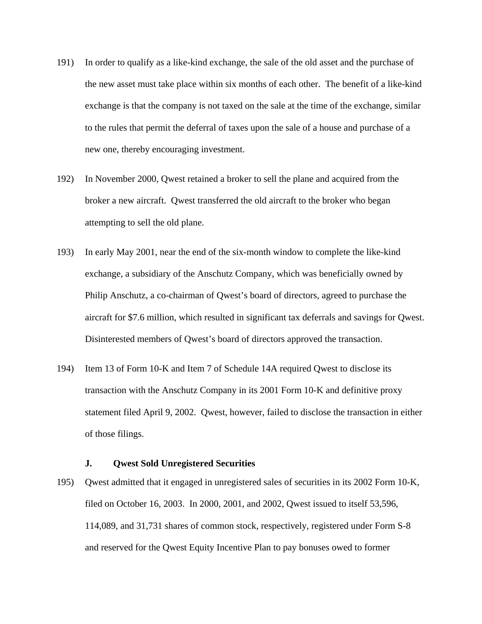- 191) In order to qualify as a like-kind exchange, the sale of the old asset and the purchase of the new asset must take place within six months of each other. The benefit of a like-kind exchange is that the company is not taxed on the sale at the time of the exchange, similar to the rules that permit the deferral of taxes upon the sale of a house and purchase of a new one, thereby encouraging investment.
- 192) In November 2000, Qwest retained a broker to sell the plane and acquired from the broker a new aircraft. Qwest transferred the old aircraft to the broker who began attempting to sell the old plane.
- 193) In early May 2001, near the end of the six-month window to complete the like-kind exchange, a subsidiary of the Anschutz Company, which was beneficially owned by Philip Anschutz, a co-chairman of Qwest's board of directors, agreed to purchase the aircraft for \$7.6 million, which resulted in significant tax deferrals and savings for Qwest. Disinterested members of Qwest's board of directors approved the transaction.
- 194) Item 13 of Form 10-K and Item 7 of Schedule 14A required Qwest to disclose its transaction with the Anschutz Company in its 2001 Form 10-K and definitive proxy statement filed April 9, 2002. Qwest, however, failed to disclose the transaction in either of those filings.

# **J. Qwest Sold Unregistered Securities**

195) Qwest admitted that it engaged in unregistered sales of securities in its 2002 Form 10-K, filed on October 16, 2003. In 2000, 2001, and 2002, Qwest issued to itself 53,596, 114,089, and 31,731 shares of common stock, respectively, registered under Form S-8 and reserved for the Qwest Equity Incentive Plan to pay bonuses owed to former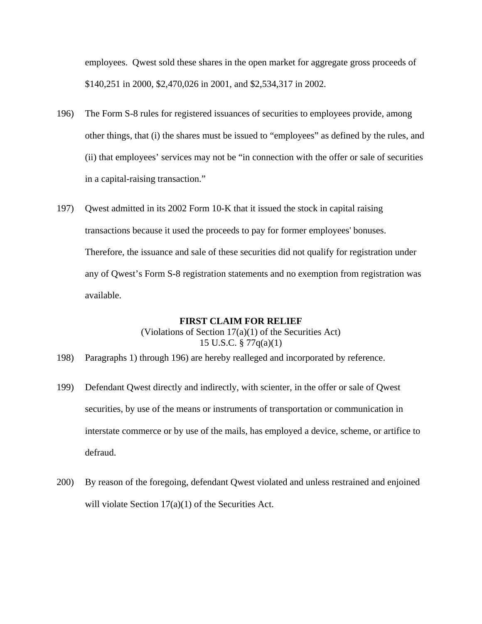employees. Qwest sold these shares in the open market for aggregate gross proceeds of \$140,251 in 2000, \$2,470,026 in 2001, and \$2,534,317 in 2002.

- 196) The Form S-8 rules for registered issuances of securities to employees provide, among other things, that (i) the shares must be issued to "employees" as defined by the rules, and (ii) that employees' services may not be "in connection with the offer or sale of securities in a capital-raising transaction."
- 197) Qwest admitted in its 2002 Form 10-K that it issued the stock in capital raising transactions because it used the proceeds to pay for former employees' bonuses. Therefore, the issuance and sale of these securities did not qualify for registration under any of Qwest's Form S-8 registration statements and no exemption from registration was available.

#### **FIRST CLAIM FOR RELIEF**

# (Violations of Section 17(a)(1) of the Securities Act) 15 U.S.C. § 77q(a)(1)

- 198) Paragraphs 1) through 196) are hereby realleged and incorporated by reference.
- 199) Defendant Qwest directly and indirectly, with scienter, in the offer or sale of Qwest securities, by use of the means or instruments of transportation or communication in interstate commerce or by use of the mails, has employed a device, scheme, or artifice to defraud.
- 200) By reason of the foregoing, defendant Qwest violated and unless restrained and enjoined will violate Section 17(a)(1) of the Securities Act.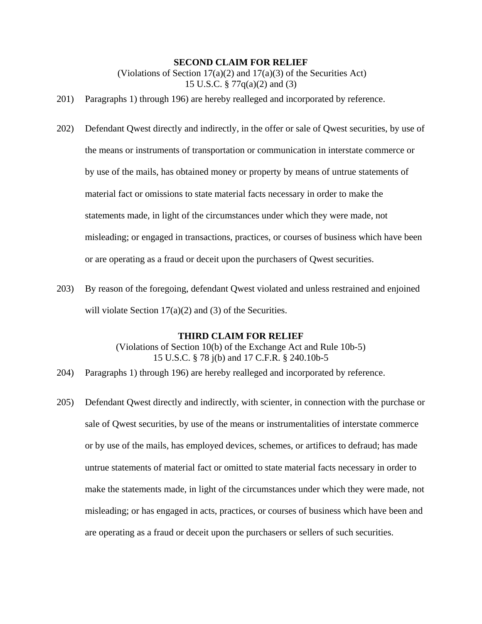## **SECOND CLAIM FOR RELIEF**

(Violations of Section  $17(a)(2)$  and  $17(a)(3)$  of the Securities Act) 15 U.S.C. § 77q(a)(2) and (3)

- 201) Paragraphs 1) through 196) are hereby realleged and incorporated by reference.
- 202) Defendant Qwest directly and indirectly, in the offer or sale of Qwest securities, by use of the means or instruments of transportation or communication in interstate commerce or by use of the mails, has obtained money or property by means of untrue statements of material fact or omissions to state material facts necessary in order to make the statements made, in light of the circumstances under which they were made, not misleading; or engaged in transactions, practices, or courses of business which have been or are operating as a fraud or deceit upon the purchasers of Qwest securities.
- 203) By reason of the foregoing, defendant Qwest violated and unless restrained and enjoined will violate Section  $17(a)(2)$  and (3) of the Securities.

## **THIRD CLAIM FOR RELIEF**

(Violations of Section 10(b) of the Exchange Act and Rule 10b-5) 15 U.S.C. § 78 j(b) and 17 C.F.R. § 240.10b-5

- 204) Paragraphs 1) through 196) are hereby realleged and incorporated by reference.
- 205) Defendant Qwest directly and indirectly, with scienter, in connection with the purchase or sale of Qwest securities, by use of the means or instrumentalities of interstate commerce or by use of the mails, has employed devices, schemes, or artifices to defraud; has made untrue statements of material fact or omitted to state material facts necessary in order to make the statements made, in light of the circumstances under which they were made, not misleading; or has engaged in acts, practices, or courses of business which have been and are operating as a fraud or deceit upon the purchasers or sellers of such securities.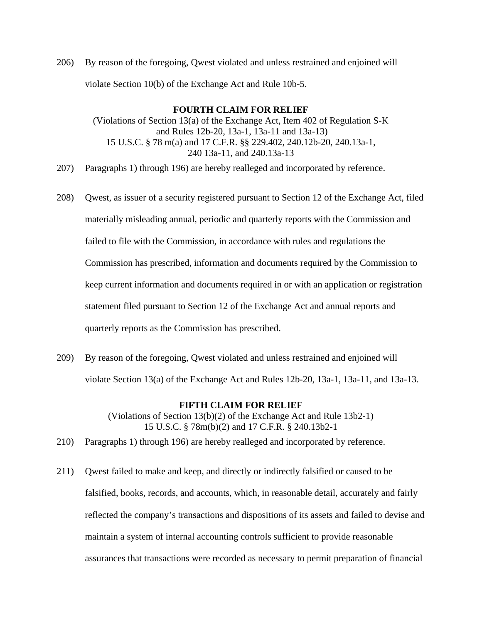206) By reason of the foregoing, Qwest violated and unless restrained and enjoined will violate Section 10(b) of the Exchange Act and Rule 10b-5.

# **FOURTH CLAIM FOR RELIEF**

(Violations of Section 13(a) of the Exchange Act, Item 402 of Regulation S-K and Rules 12b-20, 13a-1, 13a-11 and 13a-13) 15 U.S.C. § 78 m(a) and 17 C.F.R. §§ 229.402, 240.12b-20, 240.13a-1, 240 13a-11, and 240.13a-13

- 207) Paragraphs 1) through 196) are hereby realleged and incorporated by reference.
- 208) Qwest, as issuer of a security registered pursuant to Section 12 of the Exchange Act, filed materially misleading annual, periodic and quarterly reports with the Commission and failed to file with the Commission, in accordance with rules and regulations the Commission has prescribed, information and documents required by the Commission to keep current information and documents required in or with an application or registration statement filed pursuant to Section 12 of the Exchange Act and annual reports and quarterly reports as the Commission has prescribed.
- 209) By reason of the foregoing, Qwest violated and unless restrained and enjoined will violate Section 13(a) of the Exchange Act and Rules 12b-20, 13a-1, 13a-11, and 13a-13.

## **FIFTH CLAIM FOR RELIEF**

(Violations of Section 13(b)(2) of the Exchange Act and Rule 13b2-1) 15 U.S.C. § 78m(b)(2) and 17 C.F.R. § 240.13b2-1

- 210) Paragraphs 1) through 196) are hereby realleged and incorporated by reference.
- 211) Qwest failed to make and keep, and directly or indirectly falsified or caused to be falsified, books, records, and accounts, which, in reasonable detail, accurately and fairly reflected the company's transactions and dispositions of its assets and failed to devise and maintain a system of internal accounting controls sufficient to provide reasonable assurances that transactions were recorded as necessary to permit preparation of financial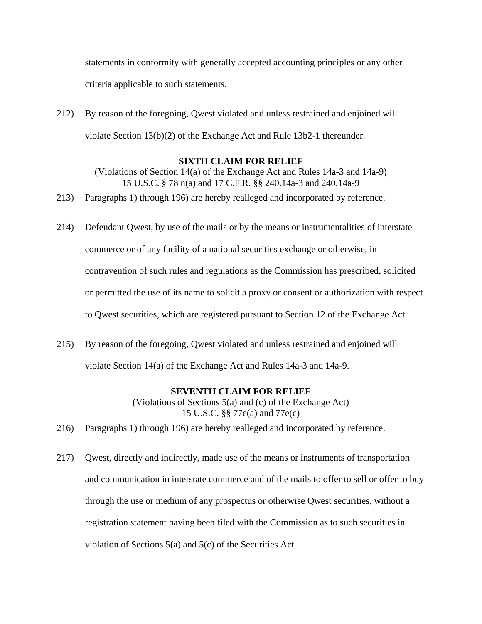statements in conformity with generally accepted accounting principles or any other criteria applicable to such statements.

212) By reason of the foregoing, Qwest violated and unless restrained and enjoined will violate Section 13(b)(2) of the Exchange Act and Rule 13b2-1 thereunder.

## **SIXTH CLAIM FOR RELIEF**

(Violations of Section 14(a) of the Exchange Act and Rules 14a-3 and 14a-9) 15 U.S.C. § 78 n(a) and 17 C.F.R. §§ 240.14a-3 and 240.14a-9

- 213) Paragraphs 1) through 196) are hereby realleged and incorporated by reference.
- 214) Defendant Qwest, by use of the mails or by the means or instrumentalities of interstate commerce or of any facility of a national securities exchange or otherwise, in contravention of such rules and regulations as the Commission has prescribed, solicited or permitted the use of its name to solicit a proxy or consent or authorization with respect to Qwest securities, which are registered pursuant to Section 12 of the Exchange Act.
- 215) By reason of the foregoing, Qwest violated and unless restrained and enjoined will violate Section 14(a) of the Exchange Act and Rules 14a-3 and 14a-9.

## **SEVENTH CLAIM FOR RELIEF**

(Violations of Sections 5(a) and (c) of the Exchange Act) 15 U.S.C. §§ 77e(a) and 77e(c)

- 216) Paragraphs 1) through 196) are hereby realleged and incorporated by reference.
- 217) Qwest, directly and indirectly, made use of the means or instruments of transportation and communication in interstate commerce and of the mails to offer to sell or offer to buy through the use or medium of any prospectus or otherwise Qwest securities, without a registration statement having been filed with the Commission as to such securities in violation of Sections 5(a) and 5(c) of the Securities Act.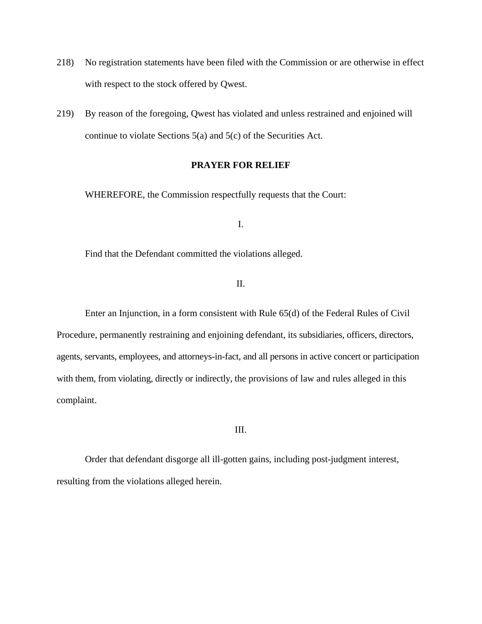- 218) No registration statements have been filed with the Commission or are otherwise in effect with respect to the stock offered by Qwest.
- 219) By reason of the foregoing, Qwest has violated and unless restrained and enjoined will continue to violate Sections 5(a) and 5(c) of the Securities Act.

# **PRAYER FOR RELIEF**

WHEREFORE, the Commission respectfully requests that the Court:

I.

Find that the Defendant committed the violations alleged.

# II.

 Enter an Injunction, in a form consistent with Rule 65(d) of the Federal Rules of Civil Procedure, permanently restraining and enjoining defendant, its subsidiaries, officers, directors, agents, servants, employees, and attorneys-in-fact, and all persons in active concert or participation with them, from violating, directly or indirectly, the provisions of law and rules alleged in this complaint.

#### III.

 Order that defendant disgorge all ill-gotten gains, including post-judgment interest, resulting from the violations alleged herein.